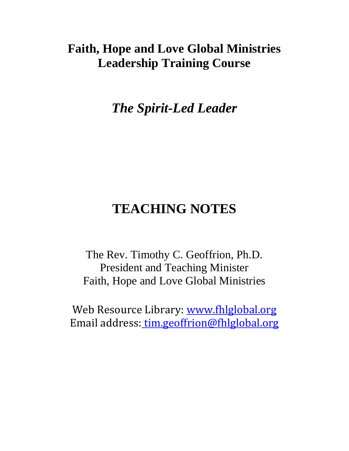# **Faith, Hope and Love Global Ministries Leadership Training Course**

*The Spirit-Led Leader*

# **TEACHING NOTES**

The Rev. Timothy C. Geoffrion, Ph.D. President and Teaching Minister Faith, Hope and Love Global Ministries

Web Resource Library: [www.fhlglobal.org](http://www.spiritledleader.wordpress.com/) Email address: [tim.geoffrion@fhlglobal.org](mailto:tim.geoffrion@fhlglobal.org)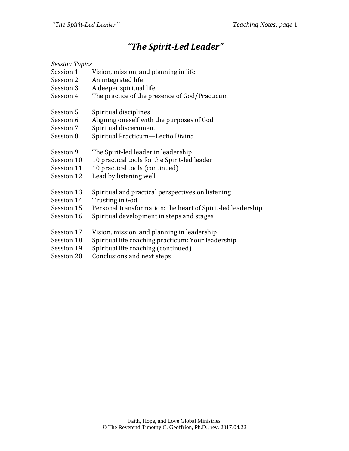# *"The Spirit-Led Leader"*

#### *Session Topics*

- Session 1 Vision, mission, and planning in life
- Session 2 An integrated life
- Session 3 A deeper spiritual life
- Session 4 The practice of the presence of God/Practicum
- Session 5 Spiritual disciplines
- Session 6 Aligning oneself with the purposes of God
- Session 7 Spiritual discernment
- Session 8 Spiritual Practicum—Lectio Divina
- Session 9 The Spirit-led leader in leadership
- Session 10 10 practical tools for the Spirit-led leader
- Session 11 10 practical tools (continued)
- Session 12 Lead by listening well
- Session 13 Spiritual and practical perspectives on listening
- Session 14 Trusting in God
- Session 15 Personal transformation: the heart of Spirit-led leadership
- Session 16 Spiritual development in steps and stages
- Session 17 Vision, mission, and planning in leadership
- Session 18 Spiritual life coaching practicum: Your leadership
- Session 19 Spiritual life coaching (continued)
- Session 20 Conclusions and next steps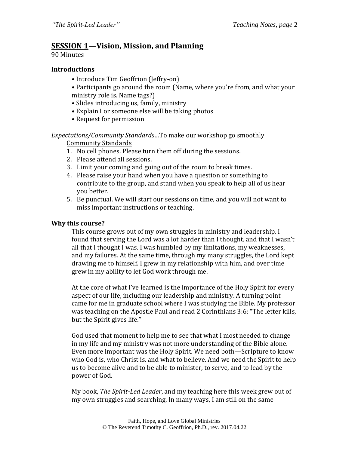# **SESSION 1—Vision, Mission, and Planning**

90 Minutes

#### **Introductions**

- Introduce Tim Geoffrion (Jeffry-on)
- Participants go around the room (Name, where you're from, and what your ministry role is. Name tags?)
- Slides introducing us, family, ministry
- Explain I or someone else will be taking photos
- Request for permission

*Expectations/Community Standards…*To make our workshop go smoothly Community Standards

- 1. No cell phones. Please turn them off during the sessions.
- 2. Please attend all sessions.
- 3. Limit your coming and going out of the room to break times.
- 4. Please raise your hand when you have a question or something to contribute to the group, and stand when you speak to help all of us hear you better.
- 5. Be punctual. We will start our sessions on time, and you will not want to miss important instructions or teaching.

#### **Why this course?**

This course grows out of my own struggles in ministry and leadership. I found that serving the Lord was a lot harder than I thought, and that I wasn't all that I thought I was. I was humbled by my limitations, my weaknesses, and my failures. At the same time, through my many struggles, the Lord kept drawing me to himself. I grew in my relationship with him, and over time grew in my ability to let God work through me.

At the core of what I've learned is the importance of the Holy Spirit for every aspect of our life, including our leadership and ministry. A turning point came for me in graduate school where I was studying the Bible. My professor was teaching on the Apostle Paul and read 2 Corinthians 3:6: "The letter kills, but the Spirit gives life."

God used that moment to help me to see that what I most needed to change in my life and my ministry was not more understanding of the Bible alone. Even more important was the Holy Spirit. We need both—Scripture to know who God is, who Christ is, and what to believe. And we need the Spirit to help us to become alive and to be able to minister, to serve, and to lead by the power of God.

My book, *The Spirit-Led Leader*, and my teaching here this week grew out of my own struggles and searching. In many ways, I am still on the same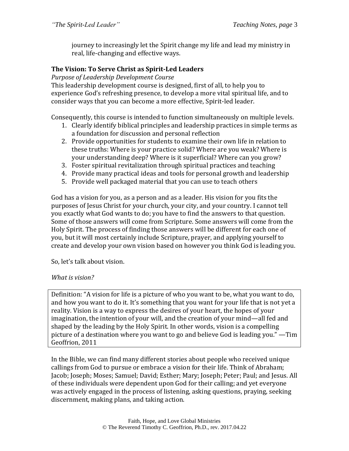journey to increasingly let the Spirit change my life and lead my ministry in real, life-changing and effective ways.

# **The Vision: To Serve Christ as Spirit-Led Leaders**

*Purpose of Leadership Development Course*

This leadership development course is designed, first of all, to help you to experience God's refreshing presence, to develop a more vital spiritual life, and to consider ways that you can become a more effective, Spirit-led leader.

Consequently, this course is intended to function simultaneously on multiple levels.

- 1. Clearly identify biblical principles and leadership practices in simple terms as a foundation for discussion and personal reflection
- 2. Provide opportunities for students to examine their own life in relation to these truths: Where is your practice solid? Where are you weak? Where is your understanding deep? Where is it superficial? Where can you grow?
- 3. Foster spiritual revitalization through spiritual practices and teaching
- 4. Provide many practical ideas and tools for personal growth and leadership
- 5. Provide well packaged material that you can use to teach others

God has a vision for you, as a person and as a leader. His vision for you fits the purposes of Jesus Christ for your church, your city, and your country. I cannot tell you exactly what God wants to do; you have to find the answers to that question. Some of those answers will come from Scripture. Some answers will come from the Holy Spirit. The process of finding those answers will be different for each one of you, but it will most certainly include Scripture, prayer, and applying yourself to create and develop your own vision based on however you think God is leading you.

So, let's talk about vision.

#### *What is vision?*

Definition: "A vision for life is a picture of who you want to be, what you want to do, and how you want to do it. It's something that you want for your life that is not yet a reality. Vision is a way to express the desires of your heart, the hopes of your imagination, the intention of your will, and the creation of your mind—all fed and shaped by the leading by the Holy Spirit. In other words, vision is a compelling picture of a destination where you want to go and believe God is leading you." —Tim Geoffrion, 2011

In the Bible, we can find many different stories about people who received unique callings from God to pursue or embrace a vision for their life. Think of Abraham; Jacob; Joseph; Moses; Samuel; David; Esther; Mary; Joseph; Peter; Paul; and Jesus. All of these individuals were dependent upon God for their calling; and yet everyone was actively engaged in the process of listening, asking questions, praying, seeking discernment, making plans, and taking action.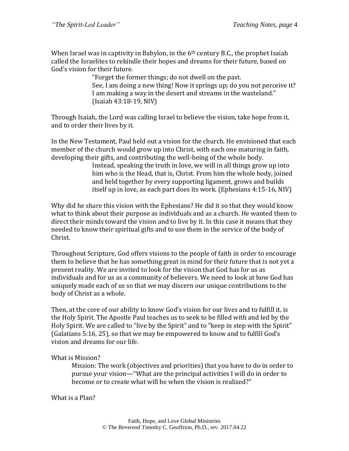When Israel was in captivity in Babylon, in the 6<sup>th</sup> century B.C., the prophet Isaiah called the Israelites to rekindle their hopes and dreams for their future, based on God's vision for their future.

> "Forget the former things; do not dwell on the past. See, I am doing a new thing! Now it springs up; do you not perceive it? I am making a way in the desert and streams in the wasteland." (Isaiah 43:18-19, NIV)

Through Isaiah, the Lord was calling Israel to believe the vision, take hope from it, and to order their lives by it.

In the New Testament, Paul held out a vision for the church. He envisioned that each member of the church would grow up into Christ, with each one maturing in faith, developing their gifts, and contributing the well-being of the whole body.

Instead, speaking the truth in love, we will in all things grow up into him who is the Head, that is, Christ. From him the whole body, joined and held together by every supporting ligament, grows and builds itself up in love, as each part does its work. (Ephesians 4:15-16, NIV)

Why did he share this vision with the Ephesians? He did it so that they would know what to think about their purpose as individuals and as a church. He wanted them to direct their minds toward the vision and to live by it. In this case it means that they needed to know their spiritual gifts and to use them in the service of the body of Christ.

Throughout Scripture, God offers visions to the people of faith in order to encourage them to believe that he has something great in mind for their future that is not yet a present reality. We are invited to look for the vision that God has for us as individuals and for us as a community of believers. We need to look at how God has uniquely made each of us so that we may discern our unique contributions to the body of Christ as a whole.

Then, at the core of our ability to know God's vision for our lives and to fulfill it, is the Holy Spirit. The Apostle Paul teaches us to seek to be filled with and led by the Holy Spirit. We are called to "live by the Spirit" and to "keep in step with the Spirit" (Galatians 5:16, 25), so that we may be empowered to know and to fulfill God's vision and dreams for our life.

# What is Mission?

Mission: The work (objectives and priorities) that you have to do in order to pursue your vision—"What are the principal activities I will do in order to become or to create what will be when the vision is realized?"

What is a Plan?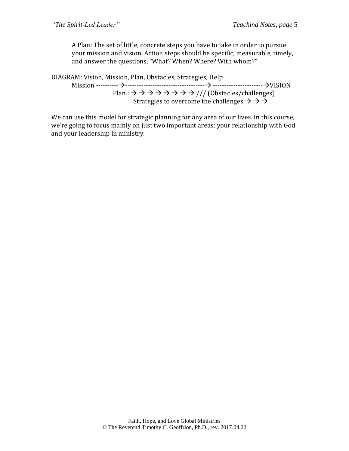A Plan: The set of little, concrete steps you have to take in order to pursue your mission and vision. Action steps should be specific, measurable, timely, and answer the questions, "What? When? Where? With whom?"

DIAGRAM: Vision, Mission, Plan, Obstacles, Strategies, Help Mission ----------→-----------------------------------→ ----------------------→VISION Plan :  $\rightarrow \rightarrow \rightarrow \rightarrow \rightarrow \rightarrow \rightarrow$  /// (Obstacles/challenges) Strategies to overcome the challenges  $\rightarrow \rightarrow \rightarrow$ 

We can use this model for strategic planning for any area of our lives. In this course, we're going to focus mainly on just two important areas: your relationship with God and your leadership in ministry.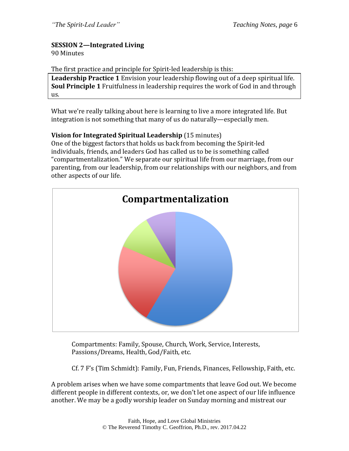#### **SESSION 2—Integrated Living** 90 Minutes

The first practice and principle for Spirit-led leadership is this:

**Leadership Practice 1** Envision your leadership flowing out of a deep spiritual life. **Soul Principle 1** Fruitfulness in leadership requires the work of God in and through us.

What we're really talking about here is learning to live a more integrated life. But integration is not something that many of us do naturally—especially men.

# **Vision for Integrated Spiritual Leadership** (15 minutes)

One of the biggest factors that holds us back from becoming the Spirit-led individuals, friends, and leaders God has called us to be is something called "compartmentalization." We separate our spiritual life from our marriage, from our parenting, from our leadership, from our relationships with our neighbors, and from other aspects of our life.



Compartments: Family, Spouse, Church, Work, Service, Interests, Passions/Dreams, Health, God/Faith, etc.

Cf. 7 F's (Tim Schmidt): Family, Fun, Friends, Finances, Fellowship, Faith, etc.

A problem arises when we have some compartments that leave God out. We become different people in different contexts, or, we don't let one aspect of our life influence another. We may be a godly worship leader on Sunday morning and mistreat our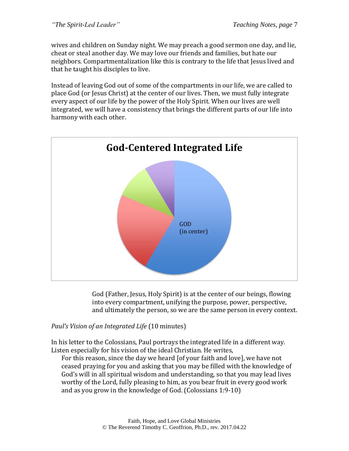wives and children on Sunday night. We may preach a good sermon one day, and lie, cheat or steal another day. We may love our friends and families, but hate our neighbors. Compartmentalization like this is contrary to the life that Jesus lived and that he taught his disciples to live.

Instead of leaving God out of some of the compartments in our life, we are called to place God (or Jesus Christ) at the center of our lives. Then, we must fully integrate every aspect of our life by the power of the Holy Spirit. When our lives are well integrated, we will have a consistency that brings the different parts of our life into harmony with each other.



God (Father, Jesus, Holy Spirit) is at the center of our beings, flowing into every compartment, unifying the purpose, power, perspective, and ultimately the person, so we are the same person in every context.

*Paul's Vision of an Integrated Life* (10 minutes)

In his letter to the Colossians, Paul portrays the integrated life in a different way. Listen especially for his vision of the ideal Christian. He writes,

For this reason, since the day we heard [of your faith and love], we have not ceased praying for you and asking that you may be filled with the knowledge of God's will in all spiritual wisdom and understanding, so that you may lead lives worthy of the Lord, fully pleasing to him, as you bear fruit in every good work and as you grow in the knowledge of God. (Colossians 1:9-10)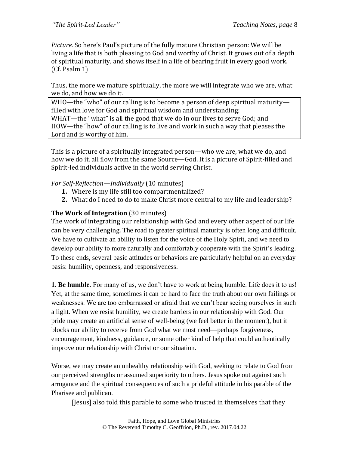*Picture.* So here's Paul's picture of the fully mature Christian person: We will be living a life that is both pleasing to God and worthy of Christ. It grows out of a depth of spiritual maturity, and shows itself in a life of bearing fruit in every good work. (Cf. Psalm 1)

Thus, the more we mature spiritually, the more we will integrate who we are, what we do, and how we do it.

WHO—the "who" of our calling is to become a person of deep spiritual maturity filled with love for God and spiritual wisdom and understanding; WHAT—the "what" is all the good that we do in our lives to serve God; and HOW—the "how" of our calling is to live and work in such a way that pleases the Lord and is worthy of him.

This is a picture of a spiritually integrated person—who we are, what we do, and how we do it, all flow from the same Source—God. It is a picture of Spirit-filled and Spirit-led individuals active in the world serving Christ.

# *For Self-Reflection—Individually* (10 minutes)

- **1.** Where is my life still too compartmentalized?
- **2.** What do I need to do to make Christ more central to my life and leadership?

# **The Work of Integration** (30 minutes)

The work of integrating our relationship with God and every other aspect of our life can be very challenging. The road to greater spiritual maturity is often long and difficult. We have to cultivate an ability to listen for the voice of the Holy Spirit, and we need to develop our ability to more naturally and comfortably cooperate with the Spirit's leading. To these ends, several basic attitudes or behaviors are particularly helpful on an everyday basis: humility, openness, and responsiveness.

**1. Be humble**. For many of us, we don't have to work at being humble. Life does it to us! Yet, at the same time, sometimes it can be hard to face the truth about our own failings or weaknesses. We are too embarrassed or afraid that we can't bear seeing ourselves in such a light. When we resist humility, we create barriers in our relationship with God. Our pride may create an artificial sense of well-being (we feel better in the moment), but it blocks our ability to receive from God what we most need—perhaps forgiveness, encouragement, kindness, guidance, or some other kind of help that could authentically improve our relationship with Christ or our situation.

Worse, we may create an unhealthy relationship with God, seeking to relate to God from our perceived strengths or assumed superiority to others. Jesus spoke out against such arrogance and the spiritual consequences of such a prideful attitude in his parable of the Pharisee and publican.

[Jesus] also told this parable to some who trusted in themselves that they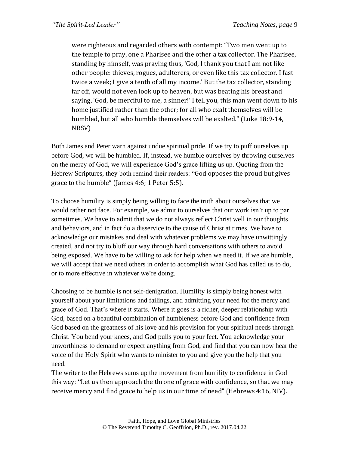were righteous and regarded others with contempt: "Two men went up to the temple to pray, one a Pharisee and the other a tax collector. The Pharisee, standing by himself, was praying thus, 'God, I thank you that I am not like other people: thieves, rogues, adulterers, or even like this tax collector. I fast twice a week; I give a tenth of all my income.' But the tax collector, standing far off, would not even look up to heaven, but was beating his breast and saying, 'God, be merciful to me, a sinner!' I tell you, this man went down to his home justified rather than the other; for all who exalt themselves will be humbled, but all who humble themselves will be exalted." (Luke 18:9-14, NRSV)

Both James and Peter warn against undue spiritual pride. If we try to puff ourselves up before God, we will be humbled. If, instead, we humble ourselves by throwing ourselves on the mercy of God, we will experience God's grace lifting us up. Quoting from the Hebrew Scriptures, they both remind their readers: "God opposes the proud but gives grace to the humble" (James 4:6; 1 Peter 5:5).

To choose humility is simply being willing to face the truth about ourselves that we would rather not face. For example, we admit to ourselves that our work isn't up to par sometimes. We have to admit that we do not always reflect Christ well in our thoughts and behaviors, and in fact do a disservice to the cause of Christ at times. We have to acknowledge our mistakes and deal with whatever problems we may have unwittingly created, and not try to bluff our way through hard conversations with others to avoid being exposed. We have to be willing to ask for help when we need it. If we are humble, we will accept that we need others in order to accomplish what God has called us to do, or to more effective in whatever we're doing.

Choosing to be humble is not self-denigration. Humility is simply being honest with yourself about your limitations and failings, and admitting your need for the mercy and grace of God. That's where it starts. Where it goes is a richer, deeper relationship with God, based on a beautiful combination of humbleness before God and confidence from God based on the greatness of his love and his provision for your spiritual needs through Christ. You bend your knees, and God pulls you to your feet. You acknowledge your unworthiness to demand or expect anything from God, and find that you can now hear the voice of the Holy Spirit who wants to minister to you and give you the help that you need.

The writer to the Hebrews sums up the movement from humility to confidence in God this way: "Let us then approach the throne of grace with confidence, so that we may receive mercy and find grace to help us in our time of need" (Hebrews 4:16, NIV).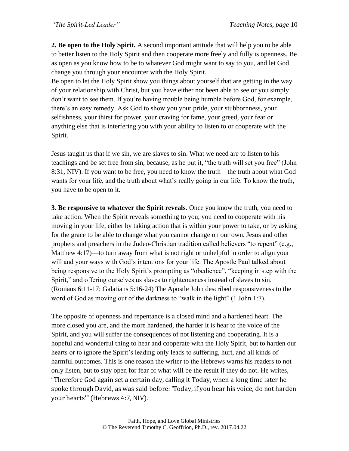**2. Be open to the Holy Spirit.** A second important attitude that will help you to be able to better listen to the Holy Spirit and then cooperate more freely and fully is openness. Be as open as you know how to be to whatever God might want to say to you, and let God change you through your encounter with the Holy Spirit.

Be open to let the Holy Spirit show you things about yourself that are getting in the way of your relationship with Christ, but you have either not been able to see or you simply don't want to see them. If you're having trouble being humble before God, for example, there's an easy remedy. Ask God to show you your pride, your stubbornness, your selfishness, your thirst for power, your craving for fame, your greed, your fear or anything else that is interfering you with your ability to listen to or cooperate with the Spirit.

Jesus taught us that if we sin, we are slaves to sin. What we need are to listen to his teachings and be set free from sin, because, as he put it, "the truth will set you free" (John 8:31, NIV). If you want to be free, you need to know the truth—the truth about what God wants for your life, and the truth about what's really going in our life. To know the truth, you have to be open to it.

**3. Be responsive to whatever the Spirit reveals.** Once you know the truth, you need to take action. When the Spirit reveals something to you, you need to cooperate with his moving in your life, either by taking action that is within your power to take, or by asking for the grace to be able to change what you cannot change on our own. Jesus and other prophets and preachers in the Judeo-Christian tradition called believers "to repent" (e.g., Matthew 4:17)—to turn away from what is not right or unhelpful in order to align your will and your ways with God's intentions for your life. The Apostle Paul talked about being responsive to the Holy Spirit's prompting as "obedience", "keeping in step with the Spirit," and offering ourselves us slaves to righteousness instead of slaves to sin. (Romans 6:11-17; Galatians 5:16-24) The Apostle John described responsiveness to the word of God as moving out of the darkness to "walk in the light" (1 John 1:7).

The opposite of openness and repentance is a closed mind and a hardened heart. The more closed you are, and the more hardened, the harder it is hear to the voice of the Spirit, and you will suffer the consequences of not listening and cooperating. It is a hopeful and wonderful thing to hear and cooperate with the Holy Spirit, but to harden our hearts or to ignore the Spirit's leading only leads to suffering, hurt, and all kinds of harmful outcomes. This is one reason the writer to the Hebrews warns his readers to not only listen, but to stay open for fear of what will be the result if they do not. He writes, "Therefore God again set a certain day, calling it Today, when a long time later he spoke through David, as was said before: 'Today, if you hear his voice, do not harden your hearts'" (Hebrews 4:7, NIV).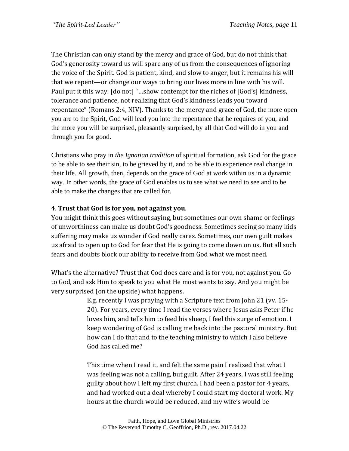The Christian can only stand by the mercy and grace of God, but do not think that God's generosity toward us will spare any of us from the consequences of ignoring the voice of the Spirit. God is patient, kind, and slow to anger, but it remains his will that we repent—or change our ways to bring our lives more in line with his will. Paul put it this way: [do not] "…show contempt for the riches of [God's] kindness, tolerance and patience, not realizing that God's kindness leads you toward repentance" (Romans 2:4, NIV). Thanks to the mercy and grace of God, the more open you are to the Spirit, God will lead you into the repentance that he requires of you, and the more you will be surprised, pleasantly surprised, by all that God will do in you and through you for good.

Christians who pray in *the Ignatian tradition* of spiritual formation, ask God for the grace to be able to see their sin, to be grieved by it, and to be able to experience real change in their life. All growth, then, depends on the grace of God at work within us in a dynamic way. In other words, the grace of God enables us to see what we need to see and to be able to make the changes that are called for.

# 4. **Trust that God is for you, not against you**.

You might think this goes without saying, but sometimes our own shame or feelings of unworthiness can make us doubt God's goodness. Sometimes seeing so many kids suffering may make us wonder if God really cares. Sometimes, our own guilt makes us afraid to open up to God for fear that He is going to come down on us. But all such fears and doubts block our ability to receive from God what we most need.

What's the alternative? Trust that God does care and is for you, not against you. Go to God, and ask Him to speak to you what He most wants to say. And you might be very surprised (on the upside) what happens.

> E.g. recently I was praying with a Scripture text from John 21 (vv. 15- 20). For years, every time I read the verses where Jesus asks Peter if he loves him, and tells him to feed his sheep, I feel this surge of emotion. I keep wondering of God is calling me back into the pastoral ministry. But how can I do that and to the teaching ministry to which I also believe God has called me?

This time when I read it, and felt the same pain I realized that what I was feeling was not a calling, but guilt. After 24 years, I was still feeling guilty about how I left my first church. I had been a pastor for 4 years, and had worked out a deal whereby I could start my doctoral work. My hours at the church would be reduced, and my wife's would be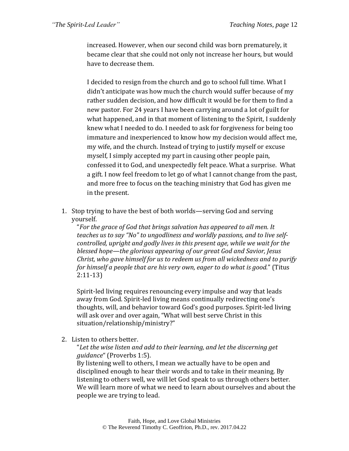increased. However, when our second child was born prematurely, it became clear that she could not only not increase her hours, but would have to decrease them.

I decided to resign from the church and go to school full time. What I didn't anticipate was how much the church would suffer because of my rather sudden decision, and how difficult it would be for them to find a new pastor. For 24 years I have been carrying around a lot of guilt for what happened, and in that moment of listening to the Spirit, I suddenly knew what I needed to do. I needed to ask for forgiveness for being too immature and inexperienced to know how my decision would affect me, my wife, and the church. Instead of trying to justify myself or excuse myself, I simply accepted my part in causing other people pain, confessed it to God, and unexpectedly felt peace. What a surprise. What a gift. I now feel freedom to let go of what I cannot change from the past, and more free to focus on the teaching ministry that God has given me in the present.

1. Stop trying to have the best of both worlds—serving God and serving yourself.

"*For the grace of God that brings salvation has appeared to all men. It teaches us to say "No" to ungodliness and worldly passions, and to live selfcontrolled, upright and godly lives in this present age, while we wait for the blessed hope—the glorious appearing of our great God and Savior, Jesus Christ, who gave himself for us to redeem us from all wickedness and to purify for himself a people that are his very own, eager to do what is good.*" (Titus 2:11-13)

Spirit-led living requires renouncing every impulse and way that leads away from God. Spirit-led living means continually redirecting one's thoughts, will, and behavior toward God's good purposes. Spirit-led living will ask over and over again, "What will best serve Christ in this situation/relationship/ministry?"

2. Listen to others better.

#### "*Let the wise listen and add to their learning, and let the discerning get guidance*" (Proverbs 1:5).

By listening well to others, I mean we actually have to be open and disciplined enough to hear their words and to take in their meaning. By listening to others well, we will let God speak to us through others better. We will learn more of what we need to learn about ourselves and about the people we are trying to lead.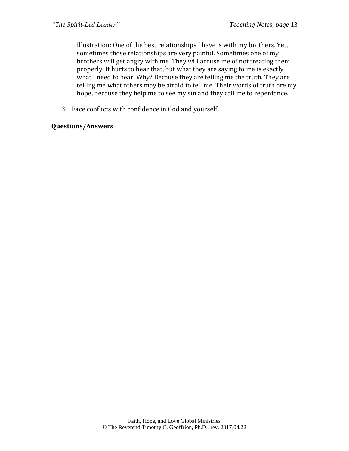Illustration: One of the best relationships I have is with my brothers. Yet, sometimes those relationships are very painful. Sometimes one of my brothers will get angry with me. They will accuse me of not treating them properly. It hurts to hear that, but what they are saying to me is exactly what I need to hear. Why? Because they are telling me the truth. They are telling me what others may be afraid to tell me. Their words of truth are my hope, because they help me to see my sin and they call me to repentance.

3. Face conflicts with confidence in God and yourself.

#### **Questions/Answers**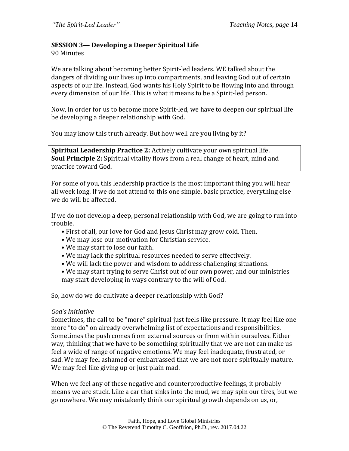### **SESSION 3— Developing a Deeper Spiritual Life**

90 Minutes

We are talking about becoming better Spirit-led leaders. WE talked about the dangers of dividing our lives up into compartments, and leaving God out of certain aspects of our life. Instead, God wants his Holy Spirit to be flowing into and through every dimension of our life. This is what it means to be a Spirit-led person.

Now, in order for us to become more Spirit-led, we have to deepen our spiritual life be developing a deeper relationship with God.

You may know this truth already. But how well are you living by it?

**Spiritual Leadership Practice 2:** Actively cultivate your own spiritual life. **Soul Principle 2:** Spiritual vitality flows from a real change of heart, mind and practice toward God.

For some of you, this leadership practice is the most important thing you will hear all week long. If we do not attend to this one simple, basic practice, everything else we do will be affected.

If we do not develop a deep, personal relationship with God, we are going to run into trouble.

- First of all, our love for God and Jesus Christ may grow cold. Then,
- We may lose our motivation for Christian service.
- We may start to lose our faith.
- We may lack the spiritual resources needed to serve effectively.
- We will lack the power and wisdom to address challenging situations.
- We may start trying to serve Christ out of our own power, and our ministries may start developing in ways contrary to the will of God.

So, how do we do cultivate a deeper relationship with God?

#### *God's Initiative*

Sometimes, the call to be "more" spiritual just feels like pressure. It may feel like one more "to do" on already overwhelming list of expectations and responsibilities. Sometimes the push comes from external sources or from within ourselves. Either way, thinking that we have to be something spiritually that we are not can make us feel a wide of range of negative emotions. We may feel inadequate, frustrated, or sad. We may feel ashamed or embarrassed that we are not more spiritually mature. We may feel like giving up or just plain mad.

When we feel any of these negative and counterproductive feelings, it probably means we are stuck. Like a car that sinks into the mud, we may spin our tires, but we go nowhere. We may mistakenly think our spiritual growth depends on us, or,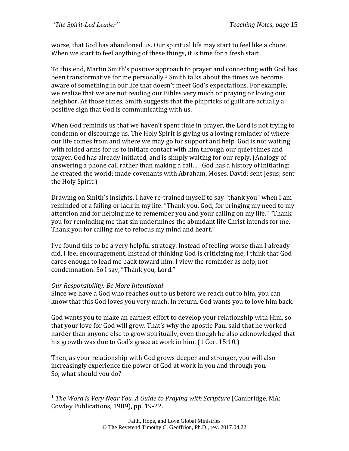worse, that God has abandoned us. Our spiritual life may start to feel like a chore. When we start to feel anything of these things, it is time for a fresh start.

To this end, Martin Smith's positive approach to prayer and connecting with God has been transformative for me personally.<sup>1</sup> Smith talks about the times we become aware of something in our life that doesn't meet God's expectations. For example, we realize that we are not reading our Bibles very much or praying or loving our neighbor. At those times, Smith suggests that the pinpricks of guilt are actually a positive sign that God is communicating with us.

When God reminds us that we haven't spent time in prayer, the Lord is not trying to condemn or discourage us. The Holy Spirit is giving us a loving reminder of where our life comes from and where we may go for support and help. God is not waiting with folded arms for us to initiate contact with him through our quiet times and prayer. God has already initiated, and is simply waiting for our reply. (Analogy of answering a phone call rather than making a call…. God has a history of initiating: he created the world; made covenants with Abraham, Moses, David; sent Jesus; sent the Holy Spirit.)

Drawing on Smith's insights, I have re-trained myself to say "thank you" when I am reminded of a failing or lack in my life. "Thank you, God, for bringing my need to my attention and for helping me to remember you and your calling on my life." "Thank you for reminding me that sin undermines the abundant life Christ intends for me. Thank you for calling me to refocus my mind and heart."

I've found this to be a very helpful strategy. Instead of feeling worse than I already did, I feel encouragement. Instead of thinking God is criticizing me, I think that God cares enough to lead me back toward him. I view the reminder as help, not condemnation. So I say, "Thank you, Lord."

# *Our Responsibility: Be More Intentional*

Since we have a God who reaches out to us before we reach out to him, you can know that this God loves you very much. In return, God wants you to love him back.

God wants you to make an earnest effort to develop your relationship with Him, so that your love for God will grow. That's why the apostle Paul said that he worked harder than anyone else to grow spiritually, even though he also acknowledged that his growth was due to God's grace at work in him. (1 Cor. 15:10.)

Then, as your relationship with God grows deeper and stronger, you will also increasingly experience the power of God at work in you and through you. So, what should you do?

<sup>1</sup> *The Word is Very Near You. A Guide to Praying with Scripture* (Cambridge, MA: Cowley Publications, 1989), pp. 19-22.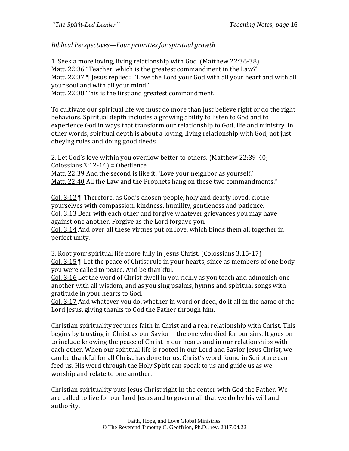# *Biblical Perspectives—Four priorities for spiritual growth*

1. Seek a more loving, living relationship with God. (Matthew 22:36-38) Matt. 22:36 "Teacher, which is the greatest commandment in the Law?" Matt. 22:37 | Jesus replied: "'Love the Lord your God with all your heart and with all your soul and with all your mind.'

Matt. 22:38 This is the first and greatest commandment.

To cultivate our spiritual life we must do more than just believe right or do the right behaviors. Spiritual depth includes a growing ability to listen to God and to experience God in ways that transform our relationship to God, life and ministry. In other words, spiritual depth is about a loving, living relationship with God, not just obeying rules and doing good deeds.

2. Let God's love within you overflow better to others. (Matthew 22:39-40; Colossians 3:12-14) = Obedience.

Matt. 22:39 And the second is like it: 'Love your neighbor as yourself.' Matt. 22:40 All the Law and the Prophets hang on these two commandments."

Col. 3:12 ¶ Therefore, as God's chosen people, holy and dearly loved, clothe yourselves with compassion, kindness, humility, gentleness and patience. Col. 3:13 Bear with each other and forgive whatever grievances you may have against one another. Forgive as the Lord forgave you.

Col. 3:14 And over all these virtues put on love, which binds them all together in perfect unity.

3. Root your spiritual life more fully in Jesus Christ. (Colossians 3:15-17) Col. 3:15 ¶ Let the peace of Christ rule in your hearts, since as members of one body you were called to peace. And be thankful.

Col. 3:16 Let the word of Christ dwell in you richly as you teach and admonish one another with all wisdom, and as you sing psalms, hymns and spiritual songs with gratitude in your hearts to God.

Col. 3:17 And whatever you do, whether in word or deed, do it all in the name of the Lord Jesus, giving thanks to God the Father through him.

Christian spirituality requires faith in Christ and a real relationship with Christ. This begins by trusting in Christ as our Savior—the one who died for our sins. It goes on to include knowing the peace of Christ in our hearts and in our relationships with each other. When our spiritual life is rooted in our Lord and Savior Jesus Christ, we can be thankful for all Christ has done for us. Christ's word found in Scripture can feed us. His word through the Holy Spirit can speak to us and guide us as we worship and relate to one another.

Christian spirituality puts Jesus Christ right in the center with God the Father. We are called to live for our Lord Jesus and to govern all that we do by his will and authority.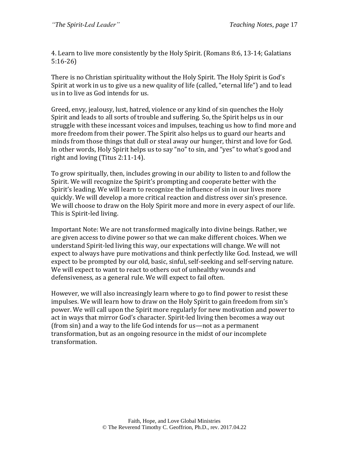4. Learn to live more consistently by the Holy Spirit. (Romans 8:6, 13-14; Galatians 5:16-26)

There is no Christian spirituality without the Holy Spirit. The Holy Spirit is God's Spirit at work in us to give us a new quality of life (called, "eternal life") and to lead us in to live as God intends for us.

Greed, envy, jealousy, lust, hatred, violence or any kind of sin quenches the Holy Spirit and leads to all sorts of trouble and suffering. So, the Spirit helps us in our struggle with these incessant voices and impulses, teaching us how to find more and more freedom from their power. The Spirit also helps us to guard our hearts and minds from those things that dull or steal away our hunger, thirst and love for God. In other words, Holy Spirit helps us to say "no" to sin, and "yes" to what's good and right and loving (Titus 2:11-14).

To grow spiritually, then, includes growing in our ability to listen to and follow the Spirit. We will recognize the Spirit's prompting and cooperate better with the Spirit's leading. We will learn to recognize the influence of sin in our lives more quickly. We will develop a more critical reaction and distress over sin's presence. We will choose to draw on the Holy Spirit more and more in every aspect of our life. This is Spirit-led living.

Important Note: We are not transformed magically into divine beings. Rather, we are given access to divine power so that we can make different choices. When we understand Spirit-led living this way, our expectations will change. We will not expect to always have pure motivations and think perfectly like God. Instead, we will expect to be prompted by our old, basic, sinful, self-seeking and self-serving nature. We will expect to want to react to others out of unhealthy wounds and defensiveness, as a general rule. We will expect to fail often.

However, we will also increasingly learn where to go to find power to resist these impulses. We will learn how to draw on the Holy Spirit to gain freedom from sin's power. We will call upon the Spirit more regularly for new motivation and power to act in ways that mirror God's character. Spirit-led living then becomes a way out (from sin) and a way to the life God intends for us—not as a permanent transformation, but as an ongoing resource in the midst of our incomplete transformation.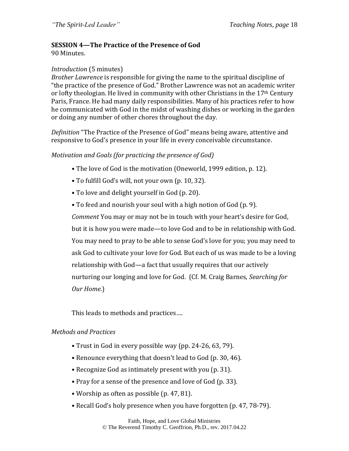## **SESSION 4—The Practice of the Presence of God**

90 Minutes.

#### *Introduction* (5 minutes)

*Brother Lawrence* is responsible for giving the name to the spiritual discipline of "the practice of the presence of God." Brother Lawrence was not an academic writer or lofty theologian. He lived in community with other Christians in the  $17<sup>th</sup>$  Century Paris, France. He had many daily responsibilities. Many of his practices refer to how he communicated with God in the midst of washing dishes or working in the garden or doing any number of other chores throughout the day.

*Definition* "The Practice of the Presence of God" means being aware, attentive and responsive to God's presence in your life in every conceivable circumstance.

#### *Motivation and Goals (for practicing the presence of God)*

- The love of God is the motivation (Oneworld, 1999 edition, p. 12).
- To fulfill God's will, not your own (p. 10, 32).
- To love and delight yourself in God (p. 20).
- To feed and nourish your soul with a high notion of God (p. 9).

*Comment* You may or may not be in touch with your heart's desire for God, but it is how you were made—to love God and to be in relationship with God. You may need to pray to be able to sense God's love for you; you may need to ask God to cultivate your love for God. But each of us was made to be a loving relationship with God—a fact that usually requires that our actively nurturing our longing and love for God. (Cf. M. Craig Barnes, *Searching for Our Home*.)

This leads to methods and practices….

#### *Methods and Practices*

- Trust in God in every possible way (pp. 24-26, 63, 79).
- Renounce everything that doesn't lead to God (p. 30, 46).
- Recognize God as intimately present with you (p. 31).
- Pray for a sense of the presence and love of God (p. 33).
- Worship as often as possible (p. 47, 81).
- Recall God's holy presence when you have forgotten (p. 47, 78-79).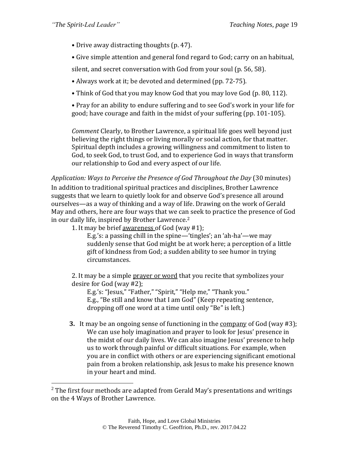- Drive away distracting thoughts (p. 47).
- Give simple attention and general fond regard to God; carry on an habitual,
- silent, and secret conversation with God from your soul (p. 56, 58).
- Always work at it; be devoted and determined (pp. 72-75).
- Think of God that you may know God that you may love God (p. 80, 112).
- Pray for an ability to endure suffering and to see God's work in your life for good; have courage and faith in the midst of your suffering (pp. 101-105).

*Comment* Clearly, to Brother Lawrence, a spiritual life goes well beyond just believing the right things or living morally or social action, for that matter. Spiritual depth includes a growing willingness and commitment to listen to God, to seek God, to trust God, and to experience God in ways that transform our relationship to God and every aspect of our life.

#### Application: Ways to Perceive the Presence of God Throughout the Day (30 minutes)

In addition to traditional spiritual practices and disciplines, Brother Lawrence suggests that we learn to quietly look for and observe God's presence all around ourselves—as a way of thinking and a way of life. Drawing on the work of Gerald May and others, here are four ways that we can seek to practice the presence of God in our daily life, inspired by Brother Lawrence. 2

1. It may be brief awareness of God (way #1);

E.g.'s: a passing chill in the spine—'tingles'; an 'ah-ha'—we may suddenly sense that God might be at work here; a perception of a little gift of kindness from God; a sudden ability to see humor in trying circumstances.

2. It may be a simple prayer or word that you recite that symbolizes your desire for God (way #2);

E.g.'s: "Jesus," "Father," "Spirit," "Help me," "Thank you." E.g., "Be still and know that I am God" (Keep repeating sentence, dropping off one word at a time until only "Be" is left.)

**3.** It may be an ongoing sense of functioning in the company of God (way #3); We can use holy imagination and prayer to look for Jesus' presence in the midst of our daily lives. We can also imagine Jesus' presence to help us to work through painful or difficult situations. For example, when you are in conflict with others or are experiencing significant emotional pain from a broken relationship, ask Jesus to make his presence known in your heart and mind.

 $2$  The first four methods are adapted from Gerald May's presentations and writings on the 4 Ways of Brother Lawrence.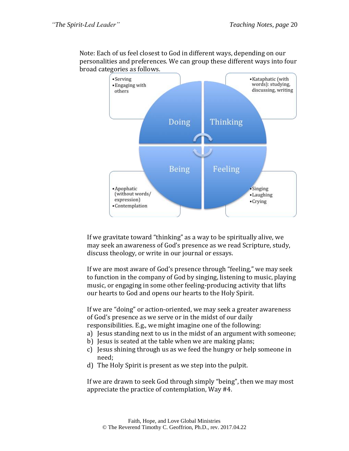

Note: Each of us feel closest to God in different ways, depending on our personalities and preferences. We can group these different ways into four broad categories as follows.

If we gravitate toward "thinking" as a way to be spiritually alive, we may seek an awareness of God's presence as we read Scripture, study, discuss theology, or write in our journal or essays.

If we are most aware of God's presence through "feeling," we may seek to function in the company of God by singing, listening to music, playing music, or engaging in some other feeling-producing activity that lifts our hearts to God and opens our hearts to the Holy Spirit.

If we are "doing" or action-oriented, we may seek a greater awareness of God's presence as we serve or in the midst of our daily responsibilities. E.g., we might imagine one of the following:

- a) Jesus standing next to us in the midst of an argument with someone;
- b) Jesus is seated at the table when we are making plans;
- c) Jesus shining through us as we feed the hungry or help someone in need;
- d) The Holy Spirit is present as we step into the pulpit.

If we are drawn to seek God through simply "being", then we may most appreciate the practice of contemplation, Way #4.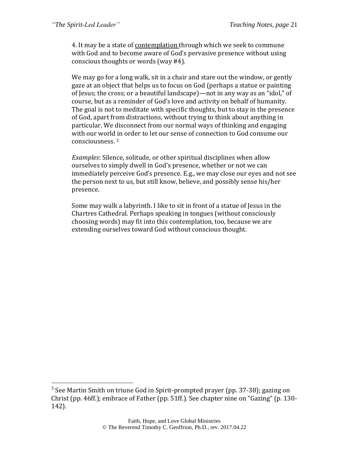4. It may be a state of contemplation through which we seek to commune with God and to become aware of God's pervasive presence without using conscious thoughts or words (way #4).

We may go for a long walk, sit in a chair and stare out the window, or gently gaze at an object that helps us to focus on God (perhaps a statue or painting of Jesus; the cross; or a beautiful landscape)—not in any way as an "idol," of course, but as a reminder of God's love and activity on behalf of humanity. The goal is not to meditate with specific thoughts, but to stay in the presence of God, apart from distractions, without trying to think about anything in particular. We disconnect from our normal ways of thinking and engaging with our world in order to let our sense of connection to God consume our consciousness. 3

*Examples*: Silence, solitude, or other spiritual disciplines when allow ourselves to simply dwell in God's presence, whether or not we can immediately perceive God's presence. E.g., we may close our eyes and not see the person next to us, but still know, believe, and possibly sense his/her presence.

Some may walk a labyrinth. I like to sit in front of a statue of Jesus in the Chartres Cathedral. Perhaps speaking in tongues (without consciously choosing words) may fit into this contemplation, too, because we are extending ourselves toward God without conscious thought.

<sup>&</sup>lt;sup>3</sup> See Martin Smith on triune God in Spirit-prompted prayer (pp. 37-38); gazing on Christ (pp. 46ff.); embrace of Father (pp. 51ff.). See chapter nine on "Gazing" (p. 130- 142).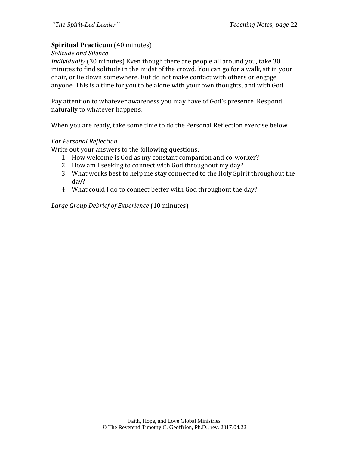#### **Spiritual Practicum** (40 minutes)

#### *Solitude and Silence*

*Individually* (30 minutes) Even though there are people all around you, take 30 minutes to find solitude in the midst of the crowd. You can go for a walk, sit in your chair, or lie down somewhere. But do not make contact with others or engage anyone. This is a time for you to be alone with your own thoughts, and with God.

Pay attention to whatever awareness you may have of God's presence. Respond naturally to whatever happens.

When you are ready, take some time to do the Personal Reflection exercise below.

#### *For Personal Reflection*

Write out your answers to the following questions:

- 1. How welcome is God as my constant companion and co-worker?
- 2. How am I seeking to connect with God throughout my day?
- 3. What works best to help me stay connected to the Holy Spirit throughout the day?
- 4. What could I do to connect better with God throughout the day?

*Large Group Debrief of Experience* (10 minutes)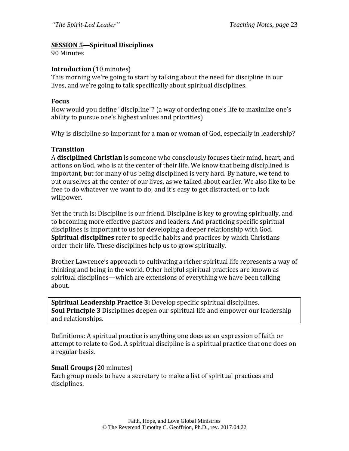# **SESSION 5—Spiritual Disciplines**

90 Minutes

#### **Introduction** (10 minutes)

This morning we're going to start by talking about the need for discipline in our lives, and we're going to talk specifically about spiritual disciplines.

#### **Focus**

How would you define "discipline"? (a way of ordering one's life to maximize one's ability to pursue one's highest values and priorities)

Why is discipline so important for a man or woman of God, especially in leadership?

# **Transition**

A **disciplined Christian** is someone who consciously focuses their mind, heart, and actions on God, who is at the center of their life. We know that being disciplined is important, but for many of us being disciplined is very hard. By nature, we tend to put ourselves at the center of our lives, as we talked about earlier. We also like to be free to do whatever we want to do; and it's easy to get distracted, or to lack willpower.

Yet the truth is: Discipline is our friend. Discipline is key to growing spiritually, and to becoming more effective pastors and leaders. And practicing specific spiritual disciplines is important to us for developing a deeper relationship with God. **Spiritual disciplines** refer to specific habits and practices by which Christians order their life. These disciplines help us to grow spiritually.

Brother Lawrence's approach to cultivating a richer spiritual life represents a way of thinking and being in the world. Other helpful spiritual practices are known as spiritual disciplines—which are extensions of everything we have been talking about.

**Spiritual Leadership Practice 3:** Develop specific spiritual disciplines. **Soul Principle 3** Disciplines deepen our spiritual life and empower our leadership and relationships.

Definitions: A spiritual practice is anything one does as an expression of faith or attempt to relate to God. A spiritual discipline is a spiritual practice that one does on a regular basis.

# **Small Groups** (20 minutes)

Each group needs to have a secretary to make a list of spiritual practices and disciplines.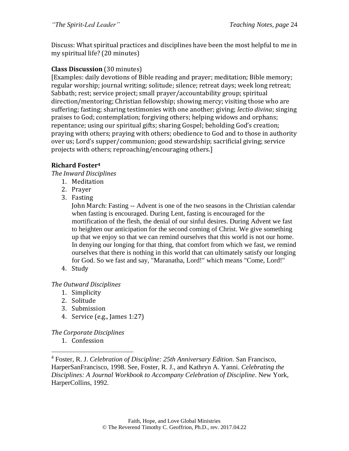Discuss: What spiritual practices and disciplines have been the most helpful to me in my spiritual life? (20 minutes)

# **Class Discussion** (30 minutes)

[Examples: daily devotions of Bible reading and prayer; meditation; Bible memory; regular worship; journal writing; solitude; silence; retreat days; week long retreat; Sabbath; rest; service project; small prayer/accountability group; spiritual direction/mentoring; Christian fellowship; showing mercy; visiting those who are suffering; fasting; sharing testimonies with one another; giving; *lectio divina*; singing praises to God; contemplation; forgiving others; helping widows and orphans; repentance; using our spiritual gifts; sharing Gospel; beholding God's creation; praying with others; praying with others; obedience to God and to those in authority over us; Lord's supper/communion; good stewardship; sacrificial giving; service projects with others; reproaching/encouraging others.]

# **Richard Foster<sup>4</sup>**

*The Inward Disciplines*

- 1. Meditation
- 2. Prayer
- 3. Fasting

John March: Fasting -- Advent is one of the two seasons in the Christian calendar when fasting is encouraged. During Lent, fasting is encouraged for the mortification of the flesh, the denial of our sinful desires. During Advent we fast to heighten our anticipation for the second coming of Christ. We give something up that we enjoy so that we can remind ourselves that this world is not our home. In denying our longing for that thing, that comfort from which we fast, we remind ourselves that there is nothing in this world that can ultimately satisfy our longing for God. So we fast and say, "Maranatha, Lord!" which means "Come, Lord!"

4. Study

# *The Outward Disciplines*

- 1. Simplicity
- 2. Solitude
- 3. Submission
- 4. Service (e.g., James 1:27)

# *The Corporate Disciplines*

1. Confession

<sup>4</sup> Foster, R. J. *Celebration of Discipline: 25th Anniversary Edition*. San Francisco, HarperSanFrancisco, 1998. See, Foster, R. J., and Kathryn A. Yanni. *Celebrating the Disciplines: A Journal Workbook to Accompany Celebration of Discipline*. New York, HarperCollins, 1992.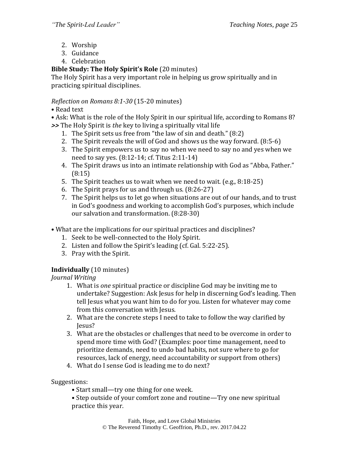- 2. Worship
- 3. Guidance
- 4. Celebration

# **Bible Study: The Holy Spirit's Role** (20 minutes)

The Holy Spirit has a very important role in helping us grow spiritually and in practicing spiritual disciplines.

# *Reflection on Romans 8:1-30* (15-20 minutes)

• Read text

• Ask: What is the role of the Holy Spirit in our spiritual life, according to Romans 8?

- *>>* The Holy Spirit is *the* key to living a spiritually vital life
	- 1. The Spirit sets us free from "the law of sin and death." (8:2)
	- 2. The Spirit reveals the will of God and shows us the way forward. (8:5-6)
	- 3. The Spirit empowers us to say no when we need to say no and yes when we need to say yes. (8:12-14; cf. Titus 2:11-14)
	- 4. The Spirit draws us into an intimate relationship with God as "Abba, Father." (8:15)
	- 5. The Spirit teaches us to wait when we need to wait. (e.g., 8:18-25)
	- 6. The Spirit prays for us and through us. (8:26-27)
	- 7. The Spirit helps us to let go when situations are out of our hands, and to trust in God's goodness and working to accomplish God's purposes, which include our salvation and transformation. (8:28-30)

• What are the implications for our spiritual practices and disciplines?

- 1. Seek to be well-connected to the Holy Spirit.
- 2. Listen and follow the Spirit's leading (cf. Gal. 5:22-25).
- 3. Pray with the Spirit.

# **Individually** (10 minutes)

*Journal Writing*

- 1. What is *one* spiritual practice or discipline God may be inviting me to undertake? Suggestion: Ask Jesus for help in discerning God's leading. Then tell Jesus what you want him to do for you. Listen for whatever may come from this conversation with Jesus.
- 2. What are the concrete steps I need to take to follow the way clarified by Jesus?
- 3. What are the obstacles or challenges that need to be overcome in order to spend more time with God? (Examples: poor time management, need to prioritize demands, need to undo bad habits, not sure where to go for resources, lack of energy, need accountability or support from others)
- 4. What do I sense God is leading me to do next?

Suggestions:

• Start small—try one thing for one week.

• Step outside of your comfort zone and routine—Try one new spiritual practice this year.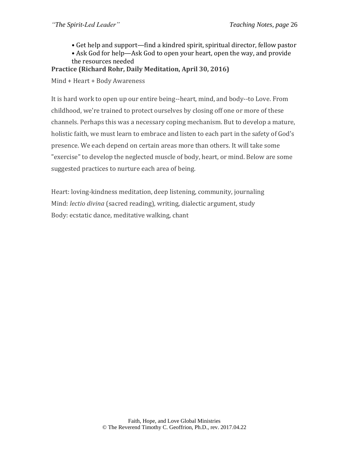- Get help and support—find a kindred spirit, spiritual director, fellow pastor
- Ask God for help—Ask God to open your heart, open the way, and provide the resources needed

**Practice (Richard Rohr, Daily Meditation, April 30, 2016)**

Mind + Heart + Body Awareness

It is hard work to open up our entire being--heart, mind, and body--to Love. From childhood, we're trained to protect ourselves by closing off one or more of these channels. Perhaps this was a necessary coping mechanism. But to develop a mature, holistic faith, we must learn to embrace and listen to each part in the safety of God's presence. We each depend on certain areas more than others. It will take some "exercise" to develop the neglected muscle of body, heart, or mind. Below are some suggested practices to nurture each area of being.

Heart: loving-kindness meditation, deep listening, community, journaling Mind: *lectio divina* (sacred reading), writing, dialectic argument, study Body: ecstatic dance, meditative walking, chant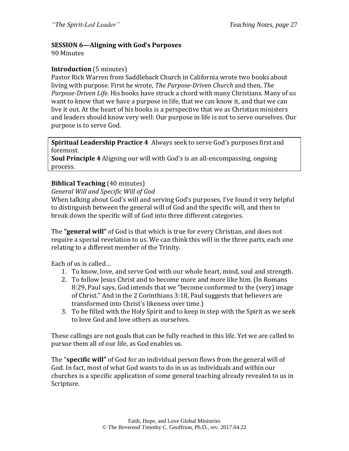# **SESSION 6—Aligning with God's Purposes**

90 Minutes

#### **Introduction** (5 minutes)

Pastor Rick Warren from Saddleback Church in California wrote two books about living with purpose. First he wrote, *The Purpose-Driven Church* and then, *The Purpose-Driven Life*. His books have struck a chord with many Christians. Many of us want to know that we have a purpose in life, that we can know it, and that we can live it out. At the heart of his books is a perspective that we as Christian ministers and leaders should know very well: Our purpose in life is not to serve ourselves. Our purpose is to serve God.

**Spiritual Leadership Practice 4** Always seek to serve God's purposes first and foremost.

**Soul Principle 4** Aligning our will with God's is an all-encompassing, ongoing process.

#### **Biblical Teaching** (40 minutes)

#### *General Will and Specific Will of God*

When talking about God's will and serving God's purposes, I've found it very helpful to distinguish between the general will of God and the specific will, and then to break down the specific will of God into three different categories.

The **"general will"** of God is that which is true for every Christian, and does not require a special revelation to us. We can think this will in the three parts, each one relating to a different member of the Trinity.

Each of us is called…

- 1. To know, love, and serve God with our whole heart, mind, soul and strength.
- 2. To follow Jesus Christ and to become more and more like him. (In Romans 8:29, Paul says, God intends that we "become conformed to the (very) image of Christ." And in the 2 Corinthians 3:18, Paul suggests that believers are transformed into Christ's likeness over time.)
- 3. To be filled with the Holy Spirit and to keep in step with the Spirit as we seek to love God and love others as ourselves.

These callings are not goals that can be fully reached in this life. Yet we are called to pursue them all of our life, as God enables us.

The "**specific will"** of God for an individual person flows from the general will of God. In fact, most of what God wants to do in us as individuals and within our churches is a specific application of some general teaching already revealed to us in Scripture.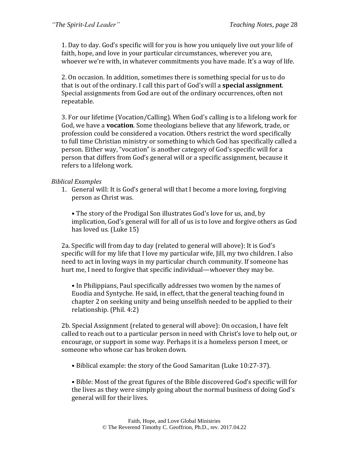1. Day to day. God's specific will for you is how you uniquely live out your life of faith, hope, and love in your particular circumstances, wherever you are, whoever we're with, in whatever commitments you have made. It's a way of life.

2. On occasion. In addition, sometimes there is something special for us to do that is out of the ordinary. I call this part of God's will a **special assignment**. Special assignments from God are out of the ordinary occurrences, often not repeatable.

3. For our lifetime (Vocation/Calling). When God's calling is to a lifelong work for God, we have a **vocation**. Some theologians believe that any lifework, trade, or profession could be considered a vocation. Others restrict the word specifically to full time Christian ministry or something to which God has specifically called a person. Either way, "vocation" is another category of God's specific will for a person that differs from God's general will or a specific assignment, because it refers to a lifelong work.

#### *Biblical Examples*

1. General will: It is God's general will that I become a more loving, forgiving person as Christ was.

• The story of the Prodigal Son illustrates God's love for us, and, by implication, God's general will for all of us is to love and forgive others as God has loved us. (Luke 15)

2a. Specific will from day to day (related to general will above): It is God's specific will for my life that I love my particular wife, Jill, my two children. I also need to act in loving ways in my particular church community. If someone has hurt me, I need to forgive that specific individual—whoever they may be.

• In Philippians, Paul specifically addresses two women by the names of Euodia and Syntyche. He said, in effect, that the general teaching found in chapter 2 on seeking unity and being unselfish needed to be applied to their relationship. (Phil. 4:2)

2b. Special Assignment (related to general will above): On occasion, I have felt called to reach out to a particular person in need with Christ's love to help out, or encourage, or support in some way. Perhaps it is a homeless person I meet, or someone who whose car has broken down.

• Biblical example: the story of the Good Samaritan (Luke 10:27-37).

• Bible: Most of the great figures of the Bible discovered God's specific will for the lives as they were simply going about the normal business of doing God's general will for their lives.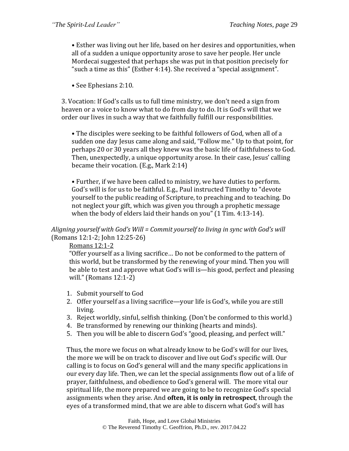• Esther was living out her life, based on her desires and opportunities, when all of a sudden a unique opportunity arose to save her people. Her uncle Mordecai suggested that perhaps she was put in that position precisely for "such a time as this" (Esther 4:14). She received a "special assignment".

• See Ephesians 2:10.

3. Vocation: If God's calls us to full time ministry, we don't need a sign from heaven or a voice to know what to do from day to do. It is God's will that we order our lives in such a way that we faithfully fulfill our responsibilities.

• The disciples were seeking to be faithful followers of God, when all of a sudden one day Jesus came along and said, "Follow me." Up to that point, for perhaps 20 or 30 years all they knew was the basic life of faithfulness to God. Then, unexpectedly, a unique opportunity arose. In their case, Jesus' calling became their vocation. (E.g., Mark 2:14)

• Further, if we have been called to ministry, we have duties to perform. God's will is for us to be faithful. E.g., Paul instructed Timothy to "devote yourself to the public reading of Scripture, to preaching and to teaching. Do not neglect your gift, which was given you through a prophetic message when the body of elders laid their hands on you" (1 Tim. 4:13-14).

#### *Aligning yourself with God's Will = Commit yourself to living in sync with God's will* (Romans 12:1-2; John 12:25-26)

Romans 12:1-2

"Offer yourself as a living sacrifice… Do not be conformed to the pattern of this world, but be transformed by the renewing of your mind. Then you will be able to test and approve what God's will is—his good, perfect and pleasing will." (Romans 12:1-2)

- 1. Submit yourself to God
- 2. Offer yourself as a living sacrifice—your life is God's, while you are still living.
- 3. Reject worldly, sinful, selfish thinking. (Don't be conformed to this world.)
- 4. Be transformed by renewing our thinking (hearts and minds).
- 5. Then you will be able to discern God's "good, pleasing, and perfect will."

Thus, the more we focus on what already know to be God's will for our lives, the more we will be on track to discover and live out God's specific will. Our calling is to focus on God's general will and the many specific applications in our every day life. Then, we can let the special assignments flow out of a life of prayer, faithfulness, and obedience to God's general will. The more vital our spiritual life, the more prepared we are going to be to recognize God's special assignments when they arise. And **often, it is only in retrospect**, through the eyes of a transformed mind, that we are able to discern what God's will has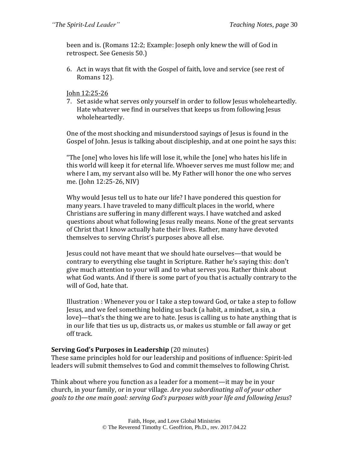been and is. (Romans 12:2; Example: Joseph only knew the will of God in retrospect. See Genesis 50.)

6. Act in ways that fit with the Gospel of faith, love and service (see rest of Romans 12).

John 12:25-26

7. Set aside what serves only yourself in order to follow Jesus wholeheartedly. Hate whatever we find in ourselves that keeps us from following Jesus wholeheartedly.

One of the most shocking and misunderstood sayings of Jesus is found in the Gospel of John. Jesus is talking about discipleship, and at one point he says this:

"The [one] who loves his life will lose it, while the [one] who hates his life in this world will keep it for eternal life. Whoever serves me must follow me; and where I am, my servant also will be. My Father will honor the one who serves me. (John 12:25-26, NIV)

Why would Jesus tell us to hate our life? I have pondered this question for many years. I have traveled to many difficult places in the world, where Christians are suffering in many different ways. I have watched and asked questions about what following Jesus really means. None of the great servants of Christ that I know actually hate their lives. Rather, many have devoted themselves to serving Christ's purposes above all else.

Jesus could not have meant that we should hate ourselves—that would be contrary to everything else taught in Scripture. Rather he's saying this: don't give much attention to your will and to what serves you. Rather think about what God wants. And if there is some part of you that is actually contrary to the will of God, hate that.

Illustration : Whenever you or I take a step toward God, or take a step to follow Jesus, and we feel something holding us back (a habit, a mindset, a sin, a love)—that's the thing we are to hate. Jesus is calling us to hate anything that is in our life that ties us up, distracts us, or makes us stumble or fall away or get off track.

# **Serving God's Purposes in Leadership** (20 minutes)

These same principles hold for our leadership and positions of influence: Spirit-led leaders will submit themselves to God and commit themselves to following Christ.

Think about where you function as a leader for a moment—it may be in your church, in your family, or in your village. *Are you subordinating all of your other goals to the one main goal: serving God's purposes with your life and following Jesus*?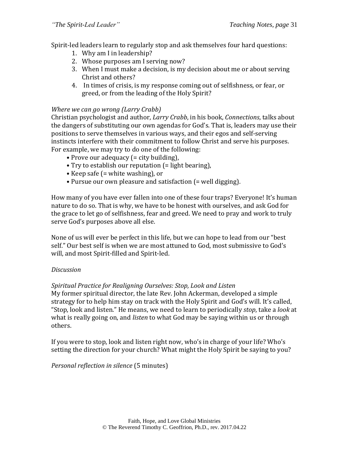Spirit-led leaders learn to regularly stop and ask themselves four hard questions:

- 1. Why am I in leadership?
- 2. Whose purposes am I serving now?
- 3. When I must make a decision, is my decision about me or about serving Christ and others?
- 4. In times of crisis, is my response coming out of selfishness, or fear, or greed, or from the leading of the Holy Spirit?

#### *Where we can go wrong (Larry Crabb)*

Christian psychologist and author, *Larry Crabb*, in his book, *Connections*, talks about the dangers of substituting our own agendas for God's. That is, leaders may use their positions to serve themselves in various ways, and their egos and self-serving instincts interfere with their commitment to follow Christ and serve his purposes. For example, we may try to do one of the following:

- Prove our adequacy (= city building),
- Try to establish our reputation (= light bearing),
- Keep safe (= white washing), or
- Pursue our own pleasure and satisfaction (= well digging).

How many of you have ever fallen into one of these four traps? Everyone! It's human nature to do so. That is why, we have to be honest with ourselves, and ask God for the grace to let go of selfishness, fear and greed. We need to pray and work to truly serve God's purposes above all else.

None of us will ever be perfect in this life, but we can hope to lead from our "best self." Our best self is when we are most attuned to God, most submissive to God's will, and most Spirit-filled and Spirit-led.

#### *Discussion*

#### *Spiritual Practice for Realigning Ourselves: Stop, Look and Listen*

My former spiritual director, the late Rev. John Ackerman, developed a simple strategy for to help him stay on track with the Holy Spirit and God's will. It's called, "Stop, look and listen." He means, we need to learn to periodically *stop*, take a *look* at what is really going on, and *listen* to what God may be saying within us or through others.

If you were to stop, look and listen right now, who's in charge of your life? Who's setting the direction for your church? What might the Holy Spirit be saying to you?

*Personal reflection in silence* (5 minutes)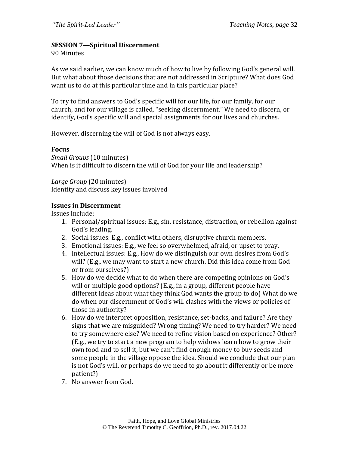# **SESSION 7—Spiritual Discernment**

90 Minutes

As we said earlier, we can know much of how to live by following God's general will. But what about those decisions that are not addressed in Scripture? What does God want us to do at this particular time and in this particular place?

To try to find answers to God's specific will for our life, for our family, for our church, and for our village is called, "seeking discernment." We need to discern, or identify, God's specific will and special assignments for our lives and churches.

However, discerning the will of God is not always easy.

#### **Focus**

*Small Groups* (10 minutes) When is it difficult to discern the will of God for your life and leadership?

#### *Large Group* (20 minutes)

Identity and discuss key issues involved

#### **Issues in Discernment**

Issues include:

- 1. Personal/spiritual issues: E.g., sin, resistance, distraction, or rebellion against God's leading.
- 2. Social issues: E.g., conflict with others, disruptive church members.
- 3. Emotional issues: E.g., we feel so overwhelmed, afraid, or upset to pray.
- 4. Intellectual issues: E.g., How do we distinguish our own desires from God's will? (E.g., we may want to start a new church. Did this idea come from God or from ourselves?)
- 5. How do we decide what to do when there are competing opinions on God's will or multiple good options? (E.g., in a group, different people have different ideas about what they think God wants the group to do) What do we do when our discernment of God's will clashes with the views or policies of those in authority?
- 6. How do we interpret opposition, resistance, set-backs, and failure? Are they signs that we are misguided? Wrong timing? We need to try harder? We need to try somewhere else? We need to refine vision based on experience? Other? (E.g., we try to start a new program to help widows learn how to grow their own food and to sell it, but we can't find enough money to buy seeds and some people in the village oppose the idea. Should we conclude that our plan is not God's will, or perhaps do we need to go about it differently or be more patient?)
- 7. No answer from God.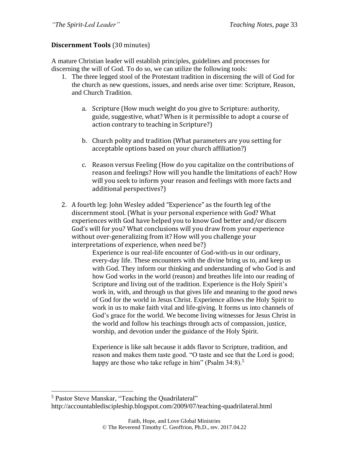## **Discernment Tools** (30 minutes)

A mature Christian leader will establish principles, guidelines and processes for discerning the will of God. To do so, we can utilize the following tools:

- 1. The three legged stool of the Protestant tradition in discerning the will of God for the church as new questions, issues, and needs arise over time: Scripture, Reason, and Church Tradition.
	- a. Scripture (How much weight do you give to Scripture: authority, guide, suggestive, what? When is it permissible to adopt a course of action contrary to teaching in Scripture?)
	- b. Church polity and tradition (What parameters are you setting for acceptable options based on your church affiliation?)
	- c. Reason versus Feeling (How do you capitalize on the contributions of reason and feelings? How will you handle the limitations of each? How will you seek to inform your reason and feelings with more facts and additional perspectives?)
- 2. A fourth leg: John Wesley added "Experience" as the fourth leg of the discernment stool. (What is your personal experience with God? What experiences with God have helped you to know God better and/or discern God's will for you? What conclusions will you draw from your experience without over-generalizing from it? How will you challenge your interpretations of experience, when need be?)

Experience is our real-life encounter of God-with-us in our ordinary, every-day life. These encounters with the divine bring us to, and keep us with God. They inform our thinking and understanding of who God is and how God works in the world (reason) and breathes life into our reading of Scripture and living out of the tradition. Experience is the Holy Spirit's work in, with, and through us that gives life and meaning to the good news of God for the world in Jesus Christ. Experience allows the Holy Spirit to work in us to make faith vital and life-giving. It forms us into channels of God's grace for the world. We become living witnesses for Jesus Christ in the world and follow his teachings through acts of compassion, justice, worship, and devotion under the guidance of the Holy Spirit.

Experience is like salt because it adds flavor to Scripture, tradition, and reason and makes them taste good. "O taste and see that the Lord is good; happy are those who take refuge in him" (Psalm 34:8).<sup>5</sup>

<sup>&</sup>lt;sup>5</sup> Pastor Steve Manskar, "Teaching the Quadrilateral" http://accountablediscipleship.blogspot.com/2009/07/teaching-quadrilateral.html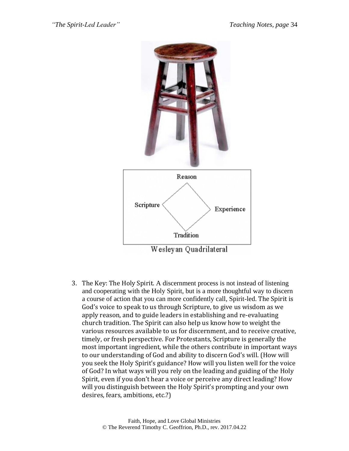

3. The Key: The Holy Spirit. A discernment process is not instead of listening and cooperating with the Holy Spirit, but is a more thoughtful way to discern a course of action that you can more confidently call, Spirit-led. The Spirit is God's voice to speak to us through Scripture, to give us wisdom as we apply reason, and to guide leaders in establishing and re-evaluating church tradition. The Spirit can also help us know how to weight the various resources available to us for discernment, and to receive creative, timely, or fresh perspective. For Protestants, Scripture is generally the most important ingredient, while the others contribute in important ways to our understanding of God and ability to discern God's will. (How will you seek the Holy Spirit's guidance? How will you listen well for the voice of God? In what ways will you rely on the leading and guiding of the Holy Spirit, even if you don't hear a voice or perceive any direct leading? How will you distinguish between the Holy Spirit's prompting and your own desires, fears, ambitions, etc.?)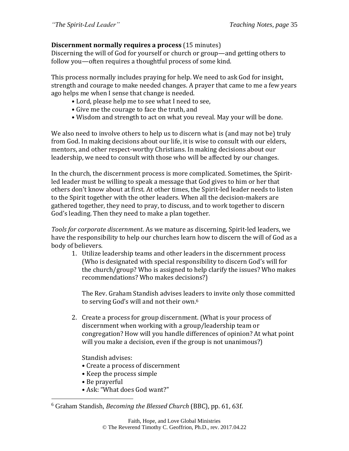# **Discernment normally requires a process** (15 minutes)

Discerning the will of God for yourself or church or group—and getting others to follow you—often requires a thoughtful process of some kind.

This process normally includes praying for help. We need to ask God for insight, strength and courage to make needed changes. A prayer that came to me a few years ago helps me when I sense that change is needed.

- Lord, please help me to see what I need to see,
- Give me the courage to face the truth, and
- Wisdom and strength to act on what you reveal. May your will be done.

We also need to involve others to help us to discern what is (and may not be) truly from God. In making decisions about our life, it is wise to consult with our elders, mentors, and other respect-worthy Christians. In making decisions about our leadership, we need to consult with those who will be affected by our changes.

In the church, the discernment process is more complicated. Sometimes, the Spiritled leader must be willing to speak a message that God gives to him or her that others don't know about at first. At other times, the Spirit-led leader needs to listen to the Spirit together with the other leaders. When all the decision-makers are gathered together, they need to pray, to discuss, and to work together to discern God's leading. Then they need to make a plan together.

*Tools for corporate discernment*. As we mature as discerning, Spirit-led leaders, we have the responsibility to help our churches learn how to discern the will of God as a body of believers.

1. Utilize leadership teams and other leaders in the discernment process (Who is designated with special responsibility to discern God's will for the church/group? Who is assigned to help clarify the issues? Who makes recommendations? Who makes decisions?)

The Rev. Graham Standish advises leaders to invite only those committed to serving God's will and not their own.<sup>6</sup>

2. Create a process for group discernment. (What is your process of discernment when working with a group/leadership team or congregation? How will you handle differences of opinion? At what point will you make a decision, even if the group is not unanimous?)

Standish advises:

- Create a process of discernment
- Keep the process simple
- Be prayerful
- Ask: "What does God want?"

<sup>6</sup> Graham Standish, *Becoming the Blessed Church* (BBC), pp. 61, 63f.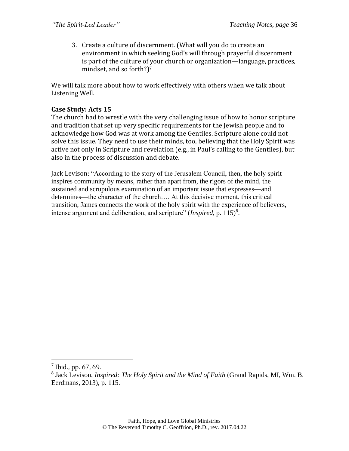3. Create a culture of discernment. (What will you do to create an environment in which seeking God's will through prayerful discernment is part of the culture of your church or organization—language, practices, mindset, and so forth?) 7

We will talk more about how to work effectively with others when we talk about Listening Well.

### **Case Study: Acts 15**

The church had to wrestle with the very challenging issue of how to honor scripture and tradition that set up very specific requirements for the Jewish people and to acknowledge how God was at work among the Gentiles. Scripture alone could not solve this issue. They need to use their minds, too, believing that the Holy Spirit was active not only in Scripture and revelation (e.g., in Paul's calling to the Gentiles), but also in the process of discussion and debate.

Jack Levison: "According to the story of the Jerusalem Council, then, the holy spirit inspires community by means, rather than apart from, the rigors of the mind, the sustained and scrupulous examination of an important issue that expresses—and determines—the character of the church…. At this decisive moment, this critical transition, James connects the work of the holy spirit with the experience of believers, intense argument and deliberation, and scripture" (*Inspired*, p. 115)<sup>8</sup>.

 $^7$  Ibid., pp. 67, 69.

<sup>8</sup> Jack Levison, *Inspired: The Holy Spirit and the Mind of Faith* (Grand Rapids, MI, Wm. B. Eerdmans, 2013), p. 115.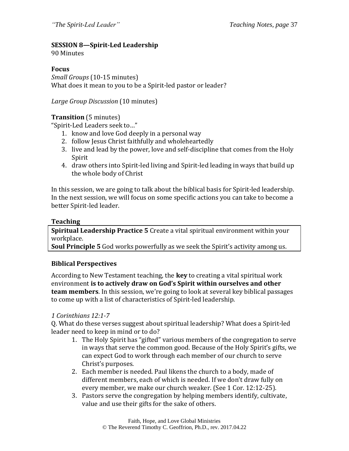## **SESSION 8—Spirit-Led Leadership**

90 Minutes

#### **Focus**

*Small Groups* (10-15 minutes) What does it mean to you to be a Spirit-led pastor or leader?

*Large Group Discussion* (10 minutes)

### **Transition** (5 minutes)

"Spirit-Led Leaders seek to…"

- 1. know and love God deeply in a personal way
- 2. follow Jesus Christ faithfully and wholeheartedly
- 3. live and lead by the power, love and self-discipline that comes from the Holy Spirit
- 4. draw others into Spirit-led living and Spirit-led leading in ways that build up the whole body of Christ

In this session, we are going to talk about the biblical basis for Spirit-led leadership. In the next session, we will focus on some specific actions you can take to become a better Spirit-led leader.

### **Teaching**

**Spiritual Leadership Practice 5** Create a vital spiritual environment within your workplace.

**Soul Principle 5** God works powerfully as we seek the Spirit's activity among us.

#### **Biblical Perspectives**

According to New Testament teaching, the **key** to creating a vital spiritual work environment **is to actively draw on God's Spirit within ourselves and other team members**. In this session, we're going to look at several key biblical passages to come up with a list of characteristics of Spirit-led leadership.

#### *1 Corinthians 12:1-7*

Q. What do these verses suggest about spiritual leadership? What does a Spirit-led leader need to keep in mind or to do?

- 1. The Holy Spirit has "gifted" various members of the congregation to serve in ways that serve the common good. Because of the Holy Spirit's gifts, we can expect God to work through each member of our church to serve Christ's purposes.
- 2. Each member is needed. Paul likens the church to a body, made of different members, each of which is needed. If we don't draw fully on every member, we make our church weaker. (See 1 Cor. 12:12-25).
- 3. Pastors serve the congregation by helping members identify, cultivate, value and use their gifts for the sake of others.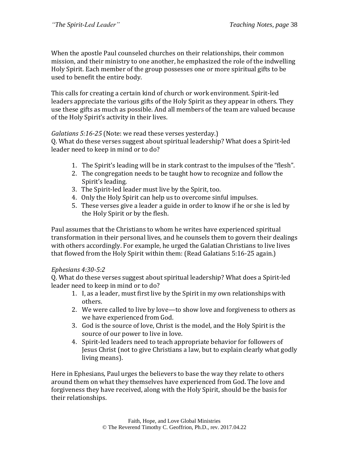When the apostle Paul counseled churches on their relationships, their common mission, and their ministry to one another, he emphasized the role of the indwelling Holy Spirit. Each member of the group possesses one or more spiritual gifts to be used to benefit the entire body.

This calls for creating a certain kind of church or work environment. Spirit-led leaders appreciate the various gifts of the Holy Spirit as they appear in others. They use these gifts as much as possible. And all members of the team are valued because of the Holy Spirit's activity in their lives.

#### *Galatians 5:16-25* (Note: we read these verses yesterday.)

Q. What do these verses suggest about spiritual leadership? What does a Spirit-led leader need to keep in mind or to do?

- 1. The Spirit's leading will be in stark contrast to the impulses of the "flesh".
- 2. The congregation needs to be taught how to recognize and follow the Spirit's leading.
- 3. The Spirit-led leader must live by the Spirit, too.
- 4. Only the Holy Spirit can help us to overcome sinful impulses.
- 5. These verses give a leader a guide in order to know if he or she is led by the Holy Spirit or by the flesh.

Paul assumes that the Christians to whom he writes have experienced spiritual transformation in their personal lives, and he counsels them to govern their dealings with others accordingly. For example, he urged the Galatian Christians to live lives that flowed from the Holy Spirit within them: (Read Galatians 5:16-25 again.)

#### *Ephesians 4:30-5:2*

Q. What do these verses suggest about spiritual leadership? What does a Spirit-led leader need to keep in mind or to do?

- 1. I, as a leader, must first live by the Spirit in my own relationships with others.
- 2. We were called to live by love—to show love and forgiveness to others as we have experienced from God.
- 3. God is the source of love, Christ is the model, and the Holy Spirit is the source of our power to live in love.
- 4. Spirit-led leaders need to teach appropriate behavior for followers of Jesus Christ (not to give Christians a law, but to explain clearly what godly living means).

Here in Ephesians, Paul urges the believers to base the way they relate to others around them on what they themselves have experienced from God. The love and forgiveness they have received, along with the Holy Spirit, should be the basis for their relationships.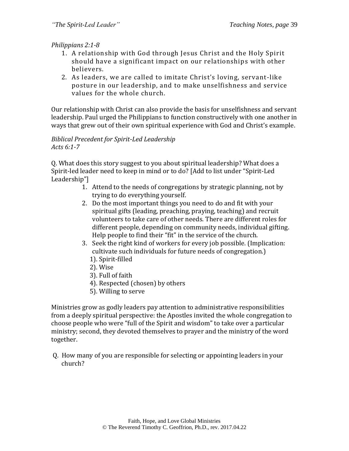## *Philippians 2:1-8*

- 1. A relationship with God through Jesus Christ and the Holy Spirit should have a significant impact on our relationships with other believers.
- 2. As leaders, we are called to imitate Christ's loving, servant-like posture in our leadership, and to make unselfishness and service values for the whole church.

Our relationship with Christ can also provide the basis for unselfishness and servant leadership. Paul urged the Philippians to function constructively with one another in ways that grew out of their own spiritual experience with God and Christ's example.

### *Biblical Precedent for Spirit-Led Leadership Acts 6:1-7*

Q. What does this story suggest to you about spiritual leadership? What does a Spirit-led leader need to keep in mind or to do? [Add to list under "Spirit-Led Leadership"]

- 1. Attend to the needs of congregations by strategic planning, not by trying to do everything yourself.
- 2. Do the most important things you need to do and fit with your spiritual gifts (leading, preaching, praying, teaching) and recruit volunteers to take care of other needs. There are different roles for different people, depending on community needs, individual gifting. Help people to find their "fit" in the service of the church.
- 3. Seek the right kind of workers for every job possible. (Implication: cultivate such individuals for future needs of congregation.)
	- 1). Spirit-filled
	- 2). Wise
	- 3). Full of faith
	- 4). Respected (chosen) by others
	- 5). Willing to serve

Ministries grow as godly leaders pay attention to administrative responsibilities from a deeply spiritual perspective: the Apostles invited the whole congregation to choose people who were "full of the Spirit and wisdom" to take over a particular ministry; second, they devoted themselves to prayer and the ministry of the word together.

Q. How many of you are responsible for selecting or appointing leaders in your church?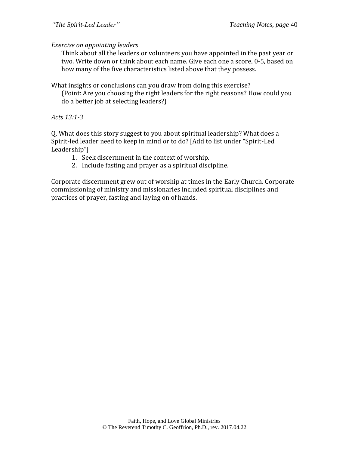#### *Exercise on appointing leaders*

Think about all the leaders or volunteers you have appointed in the past year or two. Write down or think about each name. Give each one a score, 0-5, based on how many of the five characteristics listed above that they possess.

What insights or conclusions can you draw from doing this exercise?

(Point: Are you choosing the right leaders for the right reasons? How could you do a better job at selecting leaders?)

*Acts 13:1-3*

Q. What does this story suggest to you about spiritual leadership? What does a Spirit-led leader need to keep in mind or to do? [Add to list under "Spirit-Led Leadership"]

- 1. Seek discernment in the context of worship.
- 2. Include fasting and prayer as a spiritual discipline.

Corporate discernment grew out of worship at times in the Early Church. Corporate commissioning of ministry and missionaries included spiritual disciplines and practices of prayer, fasting and laying on of hands.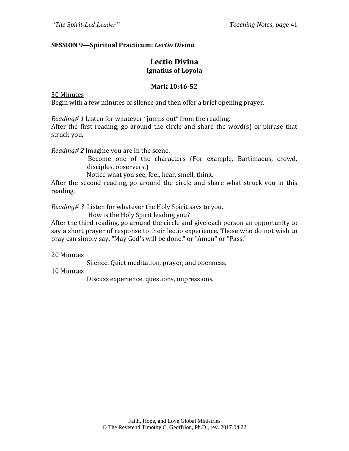## **SESSION 9—Spiritual Practicum:** *Lectio Divina*

# **Lectio Divina Ignatius of Loyola**

#### **Mark 10:46-52**

30 Minutes

Begin with a few minutes of silence and then offer a brief opening prayer.

*Reading# 1* Listen for whatever "jumps out" from the reading. After the first reading, go around the circle and share the word(s) or phrase that struck you.

*Reading# 2* Imagine you are in the scene.

 Become one of the characters (For example, Bartimaeus, crowd, disciples, observers.)

Notice what you see, feel, hear, smell, think.

After the second reading, go around the circle and share what struck you in this reading.

*Reading# 3* Listen for whatever the Holy Spirit says to you.

How is the Holy Spirit leading you?

After the third reading, go around the circle and give each person an opportunity to say a short prayer of response to their lectio experience. Those who do not wish to pray can simply say, "May God's will be done." or "Amen" or "Pass."

#### 20 Minutes

Silence. Quiet meditation, prayer, and openness.

#### 10 Minutes

Discuss experience, questions, impressions.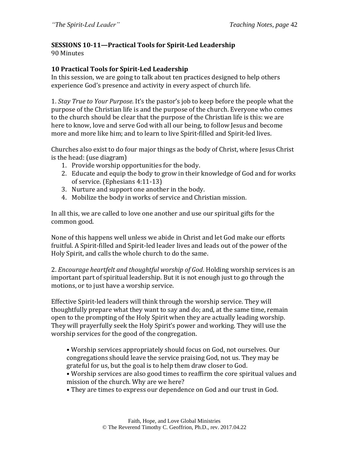# **SESSIONS 10-11—Practical Tools for Spirit-Led Leadership**

90 Minutes

# **10 Practical Tools for Spirit-Led Leadership**

In this session, we are going to talk about ten practices designed to help others experience God's presence and activity in every aspect of church life.

1. *Stay True to Your Purpose.* It's the pastor's job to keep before the people what the purpose of the Christian life is and the purpose of the church. Everyone who comes to the church should be clear that the purpose of the Christian life is this: we are here to know, love and serve God with all our being, to follow Jesus and become more and more like him; and to learn to live Spirit-filled and Spirit-led lives.

Churches also exist to do four major things as the body of Christ, where Jesus Christ is the head: (use diagram)

- 1. Provide worship opportunities for the body.
- 2. Educate and equip the body to grow in their knowledge of God and for works of service. (Ephesians 4:11-13)
- 3. Nurture and support one another in the body.
- 4. Mobilize the body in works of service and Christian mission.

In all this, we are called to love one another and use our spiritual gifts for the common good.

None of this happens well unless we abide in Christ and let God make our efforts fruitful. A Spirit-filled and Spirit-led leader lives and leads out of the power of the Holy Spirit, and calls the whole church to do the same.

2. *Encourage heartfelt and thoughtful worship of God*. Holding worship services is an important part of spiritual leadership. But it is not enough just to go through the motions, or to just have a worship service.

Effective Spirit-led leaders will think through the worship service. They will thoughtfully prepare what they want to say and do; and, at the same time, remain open to the prompting of the Holy Spirit when they are actually leading worship. They will prayerfully seek the Holy Spirit's power and working. They will use the worship services for the good of the congregation.

• Worship services appropriately should focus on God, not ourselves. Our congregations should leave the service praising God, not us. They may be grateful for us, but the goal is to help them draw closer to God.

• Worship services are also good times to reaffirm the core spiritual values and mission of the church. Why are we here?

• They are times to express our dependence on God and our trust in God.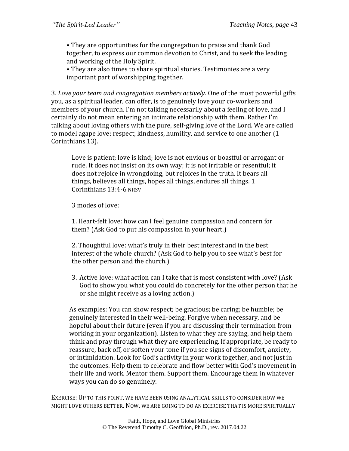• They are opportunities for the congregation to praise and thank God together, to express our common devotion to Christ, and to seek the leading and working of the Holy Spirit.

• They are also times to share spiritual stories. Testimonies are a very important part of worshipping together.

3. *Love your team and congregation members actively*. One of the most powerful gifts you, as a spiritual leader, can offer, is to genuinely love your co-workers and members of your church. I'm not talking necessarily about a feeling of love, and I certainly do not mean entering an intimate relationship with them. Rather I'm talking about loving others with the pure, self-giving love of the Lord. We are called to model agape love: respect, kindness, humility, and service to one another (1 Corinthians 13).

Love is patient; love is kind; love is not envious or boastful or arrogant or rude. It does not insist on its own way; it is not irritable or resentful; it does not rejoice in wrongdoing, but rejoices in the truth. It bears all things, believes all things, hopes all things, endures all things. 1 Corinthians 13:4-6 NRSV

3 modes of love:

1. Heart-felt love: how can I feel genuine compassion and concern for them? (Ask God to put his compassion in your heart.)

2. Thoughtful love: what's truly in their best interest and in the best interest of the whole church? (Ask God to help you to see what's best for the other person and the church.)

3. Active love: what action can I take that is most consistent with love? (Ask God to show you what you could do concretely for the other person that he or she might receive as a loving action.)

As examples: You can show respect; be gracious; be caring; be humble; be genuinely interested in their well-being. Forgive when necessary, and be hopeful about their future (even if you are discussing their termination from working in your organization). Listen to what they are saying, and help them think and pray through what they are experiencing. If appropriate, be ready to reassure, back off, or soften your tone if you see signs of discomfort, anxiety, or intimidation. Look for God's activity in your work together, and not just in the outcomes. Help them to celebrate and flow better with God's movement in their life and work. Mentor them. Support them. Encourage them in whatever ways you can do so genuinely.

EXERCISE: UP TO THIS POINT, WE HAVE BEEN USING ANALYTICAL SKILLS TO CONSIDER HOW WE MIGHT LOVE OTHERS BETTER. NOW, WE ARE GOING TO DO AN EXERCISE THAT IS MORE SPIRITUALLY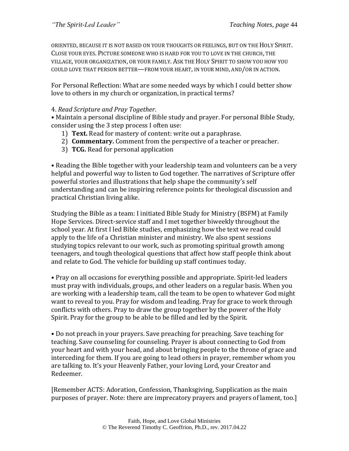ORIENTED, BECAUSE IT IS NOT BASED ON YOUR THOUGHTS OR FEELINGS, BUT ON THE HOLY SPIRIT. CLOSE YOUR EYES. PICTURE SOMEONE WHO IS HARD FOR YOU TO LOVE IN THE CHURCH, THE VILLAGE, YOUR ORGANIZATION, OR YOUR FAMILY. ASK THE HOLY SPIRIT TO SHOW YOU HOW YOU COULD LOVE THAT PERSON BETTER—FROM YOUR HEART, IN YOUR MIND, AND/OR IN ACTION.

For Personal Reflection: What are some needed ways by which I could better show love to others in my church or organization, in practical terms?

#### 4. *Read Scripture and Pray Together*.

• Maintain a personal discipline of Bible study and prayer. For personal Bible Study, consider using the 3 step process I often use:

- 1) **Text.** Read for mastery of content: write out a paraphrase.
- 2) **Commentary.** Comment from the perspective of a teacher or preacher.
- 3) **TCG.** Read for personal application

• Reading the Bible together with your leadership team and volunteers can be a very helpful and powerful way to listen to God together. The narratives of Scripture offer powerful stories and illustrations that help shape the community's self understanding and can be inspiring reference points for theological discussion and practical Christian living alike.

Studying the Bible as a team: I initiated Bible Study for Ministry (BSFM) at Family Hope Services. Direct-service staff and I met together biweekly throughout the school year. At first I led Bible studies, emphasizing how the text we read could apply to the life of a Christian minister and ministry. We also spent sessions studying topics relevant to our work, such as promoting spiritual growth among teenagers, and tough theological questions that affect how staff people think about and relate to God. The vehicle for building up staff continues today.

• Pray on all occasions for everything possible and appropriate. Spirit-led leaders must pray with individuals, groups, and other leaders on a regular basis. When you are working with a leadership team, call the team to be open to whatever God might want to reveal to you. Pray for wisdom and leading. Pray for grace to work through conflicts with others. Pray to draw the group together by the power of the Holy Spirit. Pray for the group to be able to be filled and led by the Spirit.

• Do not preach in your prayers. Save preaching for preaching. Save teaching for teaching. Save counseling for counseling. Prayer is about connecting to God from your heart and with your head, and about bringing people to the throne of grace and interceding for them. If you are going to lead others in prayer, remember whom you are talking to. It's your Heavenly Father, your loving Lord, your Creator and Redeemer.

[Remember ACTS: Adoration, Confession, Thanksgiving, Supplication as the main purposes of prayer. Note: there are imprecatory prayers and prayers of lament, too.]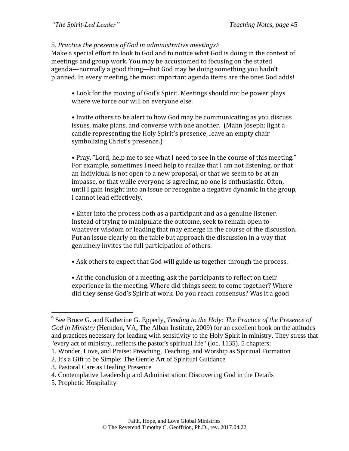#### 5. *Practice the presence of God in administrative meetings*. 9

Make a special effort to look to God and to notice what God is doing in the context of meetings and group work. You may be accustomed to focusing on the stated agenda—normally a good thing—but God may be doing something you hadn't planned. In every meeting, the most important agenda items are the ones God adds!

• Look for the moving of God's Spirit. Meetings should not be power plays where we force our will on everyone else.

• Invite others to be alert to how God may be communicating as you discuss issues, make plans, and converse with one another. (Mahn Joseph: light a candle representing the Holy Spirit's presence; leave an empty chair symbolizing Christ's presence.)

• Pray, "Lord, help me to see what I need to see in the course of this meeting." For example, sometimes I need help to realize that I am not listening, or that an individual is not open to a new proposal, or that we seem to be at an impasse, or that while everyone is agreeing, no one is enthusiastic. Often, until I gain insight into an issue or recognize a negative dynamic in the group, I cannot lead effectively.

• Enter into the process both as a participant and as a genuine listener. Instead of trying to manipulate the outcome, seek to remain open to whatever wisdom or leading that may emerge in the course of the discussion. Put an issue clearly on the table but approach the discussion in a way that genuinely invites the full participation of others.

- Ask others to expect that God will guide us together through the process.
- At the conclusion of a meeting, ask the participants to reflect on their experience in the meeting. Where did things seem to come together? Where did they sense God's Spirit at work. Do you reach consensus? Was it a good

<sup>9</sup> See Bruce G. and Katherine G. Epperly, *Tending to the Holy: The Practice of the Presence of God in Ministry* (Herndon, VA, The Alban Institute, 2009) for an excellent book on the attitudes and practices necessary for leading with sensitivity to the Holy Spirit in ministry. They stress that "every act of ministry...reflects the pastor's spiritual life" (loc. 1135). 5 chapters:

<sup>1.</sup> Wonder, Love, and Praise: Preaching, Teaching, and Worship as Spiritual Formation

<sup>2.</sup> It's a Gift to be Simple: The Gentle Art of Spiritual Guidance

<sup>3.</sup> Pastoral Care as Healing Presence

<sup>4.</sup> Contemplative Leadership and Administration: Discovering God in the Details

<sup>5.</sup> Prophetic Hospitality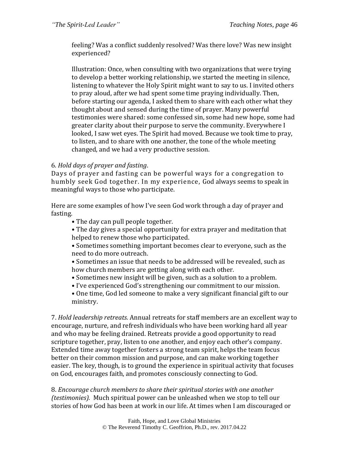feeling? Was a conflict suddenly resolved? Was there love? Was new insight experienced?

Illustration: Once, when consulting with two organizations that were trying to develop a better working relationship, we started the meeting in silence, listening to whatever the Holy Spirit might want to say to us. I invited others to pray aloud, after we had spent some time praying individually. Then, before starting our agenda, I asked them to share with each other what they thought about and sensed during the time of prayer. Many powerful testimonies were shared: some confessed sin, some had new hope, some had greater clarity about their purpose to serve the community. Everywhere I looked, I saw wet eyes. The Spirit had moved. Because we took time to pray, to listen, and to share with one another, the tone of the whole meeting changed, and we had a very productive session.

### 6*. Hold days of prayer and fasting*.

Days of prayer and fasting can be powerful ways for a congregation to humbly seek God together. In my experience, God always seems to speak in meaningful ways to those who participate.

Here are some examples of how I've seen God work through a day of prayer and fasting.

- The day can pull people together.
- The day gives a special opportunity for extra prayer and meditation that helped to renew those who participated.
- Sometimes something important becomes clear to everyone, such as the need to do more outreach.
- Sometimes an issue that needs to be addressed will be revealed, such as how church members are getting along with each other.
- Sometimes new insight will be given, such as a solution to a problem.
- I've experienced God's strengthening our commitment to our mission.
- One time, God led someone to make a very significant financial gift to our ministry.

7. *Hold leadership retreats.* Annual retreats for staff members are an excellent way to encourage, nurture, and refresh individuals who have been working hard all year and who may be feeling drained. Retreats provide a good opportunity to read scripture together, pray, listen to one another, and enjoy each other's company. Extended time away together fosters a strong team spirit, helps the team focus better on their common mission and purpose, and can make working together easier. The key, though, is to ground the experience in spiritual activity that focuses on God, encourages faith, and promotes consciously connecting to God.

8. *Encourage church members to share their spiritual stories with one another (testimonies).* Much spiritual power can be unleashed when we stop to tell our stories of how God has been at work in our life. At times when I am discouraged or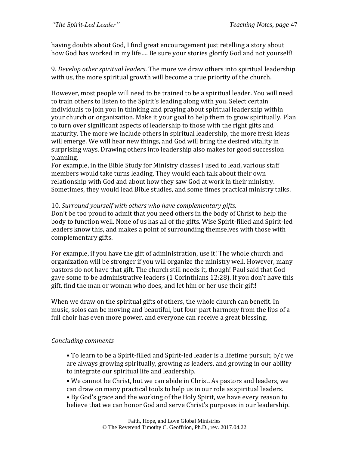having doubts about God, I find great encouragement just retelling a story about how God has worked in my life…. Be sure your stories glorify God and not yourself!

9. *Develop other spiritual leaders*. The more we draw others into spiritual leadership with us, the more spiritual growth will become a true priority of the church.

However, most people will need to be trained to be a spiritual leader. You will need to train others to listen to the Spirit's leading along with you. Select certain individuals to join you in thinking and praying about spiritual leadership within your church or organization. Make it your goal to help them to grow spiritually. Plan to turn over significant aspects of leadership to those with the right gifts and maturity. The more we include others in spiritual leadership, the more fresh ideas will emerge. We will hear new things, and God will bring the desired vitality in surprising ways. Drawing others into leadership also makes for good succession planning.

For example, in the Bible Study for Ministry classes I used to lead, various staff members would take turns leading. They would each talk about their own relationship with God and about how they saw God at work in their ministry. Sometimes, they would lead Bible studies, and some times practical ministry talks.

### 10. *Surround yourself with others who have complementary gifts.*

Don't be too proud to admit that you need others in the body of Christ to help the body to function well. None of us has all of the gifts. Wise Spirit-filled and Spirit-led leaders know this, and makes a point of surrounding themselves with those with complementary gifts.

For example, if you have the gift of administration, use it! The whole church and organization will be stronger if you will organize the ministry well. However, many pastors do not have that gift. The church still needs it, though! Paul said that God gave some to be administrative leaders (1 Corinthians 12:28). If you don't have this gift, find the man or woman who does, and let him or her use their gift!

When we draw on the spiritual gifts of others, the whole church can benefit. In music, solos can be moving and beautiful, but four-part harmony from the lips of a full choir has even more power, and everyone can receive a great blessing.

## *Concluding comments*

• To learn to be a Spirit-filled and Spirit-led leader is a lifetime pursuit, b/c we are always growing spiritually, growing as leaders, and growing in our ability to integrate our spiritual life and leadership.

• We cannot be Christ, but we can abide in Christ. As pastors and leaders, we can draw on many practical tools to help us in our role as spiritual leaders. • By God's grace and the working of the Holy Spirit, we have every reason to believe that we can honor God and serve Christ's purposes in our leadership.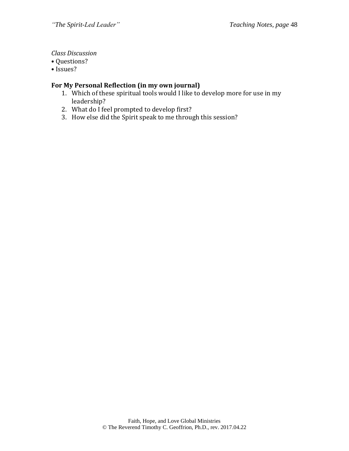## *Class Discussion*

- Questions?
- Issues?

# **For My Personal Reflection (in my own journal)**

- 1. Which of these spiritual tools would I like to develop more for use in my leadership?
- 2. What do I feel prompted to develop first?
- 3. How else did the Spirit speak to me through this session?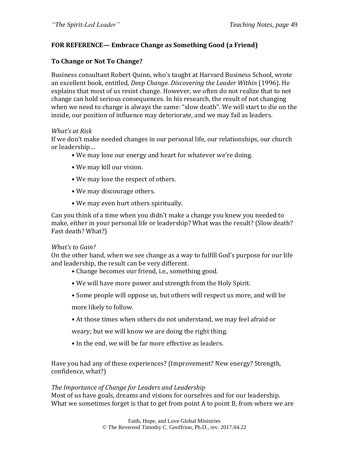# **FOR REFERENCE— Embrace Change as Something Good (a Friend)**

### **To Change or Not To Change?**

Business consultant Robert Quinn, who's taught at Harvard Business School, wrote an excellent book, entitled, *Deep Change. Discovering the Leader Within* (1996). He explains that most of us resist change. However, we often do not realize that to not change can hold serious consequences. In his research, the result of not changing when we need to change is always the same: "slow death". We will start to die on the inside, our position of influence may deteriorate, and we may fail as leaders.

#### *What's at Risk*

If we don't make needed changes in our personal life, our relationships, our church or leadership…

- We may lose our energy and heart for whatever we're doing.
- We may kill our vision.
- We may lose the respect of others.
- We may discourage others.
- We may even hurt others spiritually.

Can you think of a time when you didn't make a change you knew you needed to make, either in your personal life or leadership? What was the result? (Slow death? Fast death? What?)

#### *What's to Gain?*

On the other hand, when we see change as a way to fulfill God's purpose for our life and leadership, the result can be very different.

- Change becomes our friend, i.e., something good.
- We will have more power and strength from the Holy Spirit.
- Some people will oppose us, but others will respect us more, and will be

more likely to follow.

• At those times when others do not understand, we may feel afraid or

weary; but we will know we are doing the right thing.

• In the end, we will be far more effective as leaders.

Have you had any of these experiences? (Improvement? New energy? Strength, confidence, what?)

## *The Importance of Change for Leaders and Leadership*

Most of us have goals, dreams and visions for ourselves and for our leadership. What we sometimes forget is that to get from point A to point B, from where we are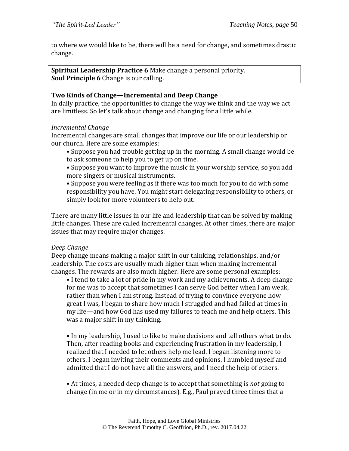to where we would like to be, there will be a need for change, and sometimes drastic change.

**Spiritual Leadership Practice 6** Make change a personal priority. **Soul Principle 6** Change is our calling.

### **Two Kinds of Change—Incremental and Deep Change**

In daily practice, the opportunities to change the way we think and the way we act are limitless. So let's talk about change and changing for a little while.

#### *Incremental Change*

Incremental changes are small changes that improve our life or our leadership or our church. Here are some examples:

- Suppose you had trouble getting up in the morning. A small change would be to ask someone to help you to get up on time.
- Suppose you want to improve the music in your worship service, so you add more singers or musical instruments.
- Suppose you were feeling as if there was too much for you to do with some responsibility you have. You might start delegating responsibility to others, or simply look for more volunteers to help out.

There are many little issues in our life and leadership that can be solved by making little changes. These are called incremental changes. At other times, there are major issues that may require major changes.

## *Deep Change*

Deep change means making a major shift in our thinking, relationships, and/or leadership. The costs are usually much higher than when making incremental changes. The rewards are also much higher. Here are some personal examples:

• I tend to take a lot of pride in my work and my achievements. A deep change for me was to accept that sometimes I can serve God better when I am weak, rather than when I am strong. Instead of trying to convince everyone how great I was, I began to share how much I struggled and had failed at times in my life—and how God has used my failures to teach me and help others. This was a major shift in my thinking.

• In my leadership, I used to like to make decisions and tell others what to do. Then, after reading books and experiencing frustration in my leadership, I realized that I needed to let others help me lead. I began listening more to others. I began inviting their comments and opinions. I humbled myself and admitted that I do not have all the answers, and I need the help of others.

• At times, a needed deep change is to accept that something is *not* going to change (in me or in my circumstances). E.g., Paul prayed three times that a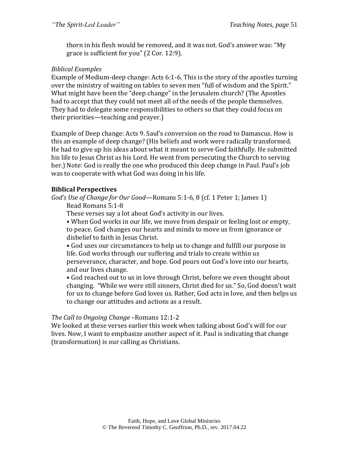thorn in his flesh would be removed, and it was not. God's answer was: "My grace is sufficient for you" (2 Cor. 12:9).

### *Biblical Examples*

Example of Medium-deep change: Acts 6:1-6. This is the story of the apostles turning over the ministry of waiting on tables to seven men "full of wisdom and the Spirit." What might have been the "deep change" in the Jerusalem church? (The Apostles had to accept that they could not meet all of the needs of the people themselves. They had to delegate some responsibilities to others so that they could focus on their priorities—teaching and prayer.)

Example of Deep change: Acts 9. Saul's conversion on the road to Damascus. How is this an example of deep change? (His beliefs and work were radically transformed. He had to give up his ideas about what it meant to serve God faithfully. He submitted his life to Jesus Christ as his Lord. He went from persecuting the Church to serving her.) Note: God is really the one who produced this deep change in Paul. Paul's job was to cooperate with what God was doing in his life.

## **Biblical Perspectives**

*God's Use of Change for Our Good—*Romans 5:1-6, 8 (cf. 1 Peter 1; James 1)

Read Romans 5:1-8

These verses say a lot about God's activity in our lives.

• When God works in our life, we move from despair or feeling lost or empty, to peace. God changes our hearts and minds to move us from ignorance or disbelief to faith in Jesus Christ.

• God uses our circumstances to help us to change and fulfill our purpose in life. God works through our suffering and trials to create within us perseverance, character, and hope. God pours out God's love into our hearts, and our lives change.

• God reached out to us in love through Christ, before we even thought about changing. "While we were still sinners, Christ died for us." So, God doesn't wait for us to change before God loves us. Rather, God acts in love, and then helps us to change our attitudes and actions as a result.

#### *The Call to Ongoing Change* –Romans 12:1-2

We looked at these verses earlier this week when talking about God's will for our lives. Now, I want to emphasize another aspect of it. Paul is indicating that change (transformation) is our calling as Christians.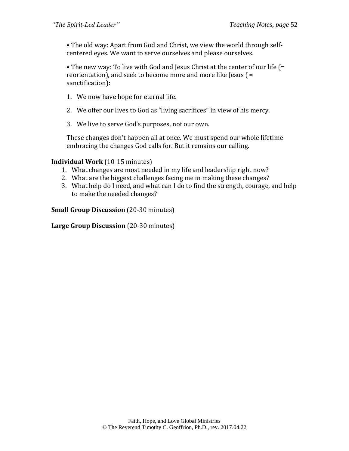• The old way: Apart from God and Christ, we view the world through selfcentered eyes. We want to serve ourselves and please ourselves.

• The new way: To live with God and Jesus Christ at the center of our life (= reorientation), and seek to become more and more like Jesus ( = sanctification):

- 1. We now have hope for eternal life.
- 2. We offer our lives to God as "living sacrifices" in view of his mercy.
- 3. We live to serve God's purposes, not our own.

These changes don't happen all at once. We must spend our whole lifetime embracing the changes God calls for. But it remains our calling.

### **Individual Work** (10-15 minutes)

- 1. What changes are most needed in my life and leadership right now?
- 2. What are the biggest challenges facing me in making these changes?
- 3. What help do I need, and what can I do to find the strength, courage, and help to make the needed changes?

**Small Group Discussion** (20-30 minutes)

**Large Group Discussion** (20-30 minutes)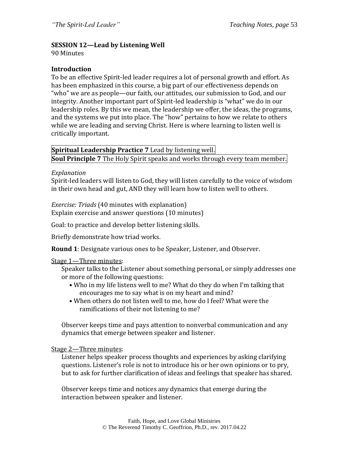#### **SESSION 12—Lead by Listening Well**

90 Minutes

#### **Introduction**

To be an effective Spirit-led leader requires a lot of personal growth and effort. As has been emphasized in this course, a big part of our effectiveness depends on "who" we are as people—our faith, our attitudes, our submission to God, and our integrity. Another important part of Spirit-led leadership is "what" we do in our leadership roles. By this we mean, the leadership we offer, the ideas, the programs, and the systems we put into place. The "how" pertains to how we relate to others while we are leading and serving Christ. Here is where learning to listen well is critically important.

**Spiritual Leadership Practice 7** Lead by listening well. **Soul Principle 7** The Holy Spirit speaks and works through every team member.

#### *Explanation*

Spirit-led leaders will listen to God, they will listen carefully to the voice of wisdom in their own head and gut, AND they will learn how to listen well to others.

*Exercise: Triads* (40 minutes with explanation) Explain exercise and answer questions (10 minutes)

Goal: to practice and develop better listening skills.

Briefly demonstrate how triad works.

**Round 1**: Designate various ones to be Speaker, Listener, and Observer.

#### Stage 1—Three minutes:

Speaker talks to the Listener about something personal, or simply addresses one or more of the following questions:

- Who in my life listens well to me? What do they do when I'm talking that encourages me to say what is on my heart and mind?
- When others do not listen well to me, how do I feel? What were the ramifications of their not listening to me?

Observer keeps time and pays attention to nonverbal communication and any dynamics that emerge between speaker and listener.

#### Stage 2—Three minutes:

Listener helps speaker process thoughts and experiences by asking clarifying questions. Listener's role is not to introduce his or her own opinions or to pry, but to ask for further clarification of ideas and feelings that speaker has shared.

Observer keeps time and notices any dynamics that emerge during the interaction between speaker and listener.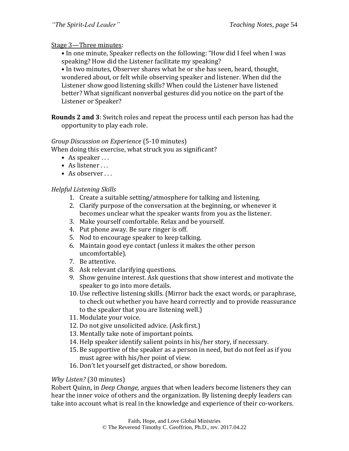### Stage 3—Three minutes:

• In one minute, Speaker reflects on the following: "How did I feel when I was speaking? How did the Listener facilitate my speaking?

• In two minutes, Observer shares what he or she has seen, heard, thought, wondered about, or felt while observing speaker and listener. When did the Listener show good listening skills? When could the Listener have listened better? What significant nonverbal gestures did you notice on the part of the Listener or Speaker?

**Rounds 2 and 3**: Switch roles and repeat the process until each person has had the opportunity to play each role.

### *Group Discussion on Experience* (5-10 minutes)

When doing this exercise, what struck you as significant?

- As speaker ...
- As listener ...
- As observer ...

### *Helpful Listening Skills*

- 1. Create a suitable setting/atmosphere for talking and listening.
- 2. Clarify purpose of the conversation at the beginning, or whenever it becomes unclear what the speaker wants from you as the listener.
- 3. Make yourself comfortable. Relax and be yourself.
- 4. Put phone away. Be sure ringer is off.
- 5. Nod to encourage speaker to keep talking.
- 6. Maintain good eye contact (unless it makes the other person uncomfortable).
- 7. Be attentive.
- 8. Ask relevant clarifying questions.
- 9. Show genuine interest. Ask questions that show interest and motivate the speaker to go into more details.
- 10. Use reflective listening skills. (Mirror back the exact words, or paraphrase, to check out whether you have heard correctly and to provide reassurance to the speaker that you are listening well.)
- 11. Modulate your voice.
- 12. Do not give unsolicited advice. (Ask first.)
- 13. Mentally take note of important points.
- 14. Help speaker identify salient points in his/her story, if necessary.
- 15. Be supportive of the speaker as a person in need, but do not feel as if you must agree with his/her point of view.
- 16. Don't let yourself get distracted, or show boredom.

## *Why Listen?* (30 minutes)

Robert Quinn, in *Deep Change,* argues that when leaders become listeners they can hear the inner voice of others and the organization. By listening deeply leaders can take into account what is real in the knowledge and experience of their co-workers.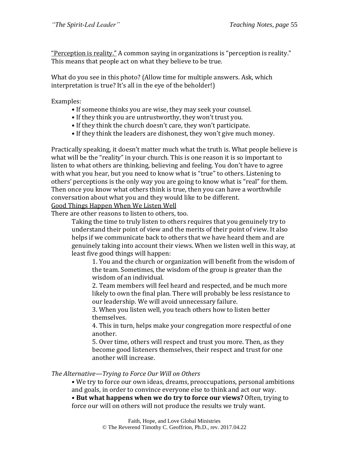"Perception is reality." A common saying in organizations is "perception is reality." This means that people act on what they believe to be true.

What do you see in this photo? (Allow time for multiple answers. Ask, which interpretation is true? It's all in the eye of the beholder!)

Examples:

- If someone thinks you are wise, they may seek your counsel.
- If they think you are untrustworthy, they won't trust you.
- If they think the church doesn't care, they won't participate.
- If they think the leaders are dishonest, they won't give much money.

Practically speaking, it doesn't matter much what the truth is. What people believe is what will be the "reality" in your church. This is one reason it is so important to listen to what others are thinking, believing and feeling. You don't have to agree with what you hear, but you need to know what is "true" to others. Listening to others' perceptions is the only way you are going to know what is "real" for them. Then once you know what others think is true, then you can have a worthwhile conversation about what you and they would like to be different. Good Things Happen When We Listen Well

There are other reasons to listen to others, too.

Taking the time to truly listen to others requires that you genuinely try to understand their point of view and the merits of their point of view. It also helps if we communicate back to others that we have heard them and are genuinely taking into account their views. When we listen well in this way, at least five good things will happen:

1. You and the church or organization will benefit from the wisdom of the team. Sometimes, the wisdom of the group is greater than the wisdom of an individual.

2. Team members will feel heard and respected, and be much more likely to own the final plan. There will probably be less resistance to our leadership. We will avoid unnecessary failure.

3. When you listen well, you teach others how to listen better themselves.

4. This in turn, helps make your congregation more respectful of one another.

5. Over time, others will respect and trust you more. Then, as they become good listeners themselves, their respect and trust for one another will increase.

## *The Alternative—Trying to Force Our Will on Others*

• We try to force our own ideas, dreams, preoccupations, personal ambitions and goals, in order to convince everyone else to think and act our way.

• **But what happens when we do try to force our views?** Often, trying to force our will on others will not produce the results we truly want.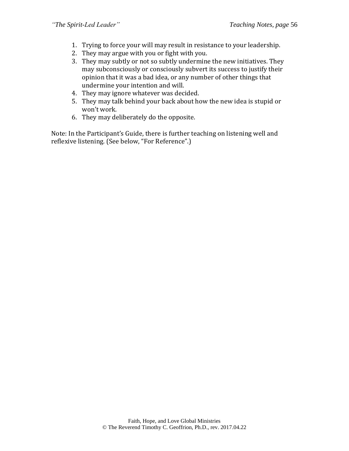- 1. Trying to force your will may result in resistance to your leadership.
- 2. They may argue with you or fight with you.
- 3. They may subtly or not so subtly undermine the new initiatives. They may subconsciously or consciously subvert its success to justify their opinion that it was a bad idea, or any number of other things that undermine your intention and will.
- 4. They may ignore whatever was decided.
- 5. They may talk behind your back about how the new idea is stupid or won't work.
- 6. They may deliberately do the opposite.

Note: In the Participant's Guide, there is further teaching on listening well and reflexive listening. (See below, "For Reference".)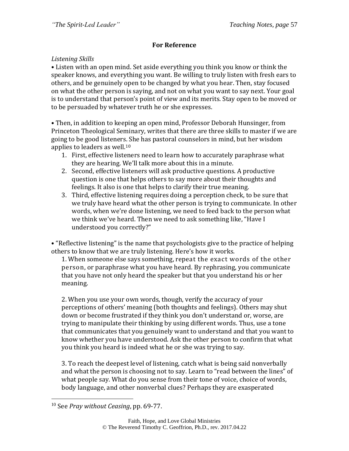# **For Reference**

## *Listening Skills*

• Listen with an open mind. Set aside everything you think you know or think the speaker knows, and everything you want. Be willing to truly listen with fresh ears to others, and be genuinely open to be changed by what you hear. Then, stay focused on what the other person is saying, and not on what you want to say next. Your goal is to understand that person's point of view and its merits. Stay open to be moved or to be persuaded by whatever truth he or she expresses.

• Then, in addition to keeping an open mind, Professor Deborah Hunsinger, from Princeton Theological Seminary, writes that there are three skills to master if we are going to be good listeners. She has pastoral counselors in mind, but her wisdom applies to leaders as well.<sup>10</sup>

- 1. First, effective listeners need to learn how to accurately paraphrase what they are hearing. We'll talk more about this in a minute.
- 2. Second, effective listeners will ask productive questions. A productive question is one that helps others to say more about their thoughts and feelings. It also is one that helps to clarify their true meaning.
- 3. Third, effective listening requires doing a perception check, to be sure that we truly have heard what the other person is trying to communicate. In other words, when we're done listening, we need to feed back to the person what we think we've heard. Then we need to ask something like, "Have I understood you correctly?"

• "Reflective listening" is the name that psychologists give to the practice of helping others to know that we are truly listening. Here's how it works.

1. When someone else says something, repeat the exact words of the other person, or paraphrase what you have heard. By rephrasing, you communicate that you have not only heard the speaker but that you understand his or her meaning.

2. When you use your own words, though, verify the accuracy of your perceptions of others' meaning (both thoughts and feelings). Others may shut down or become frustrated if they think you don't understand or, worse, are trying to manipulate their thinking by using different words. Thus, use a tone that communicates that you genuinely want to understand and that you want to know whether you have understood. Ask the other person to confirm that what you think you heard is indeed what he or she was trying to say.

3. To reach the deepest level of listening, catch what is being said nonverbally and what the person is choosing not to say. Learn to "read between the lines" of what people say. What do you sense from their tone of voice, choice of words, body language, and other nonverbal clues? Perhaps they are exasperated

<sup>10</sup> See *Pray without Ceasing*, pp. 69-77.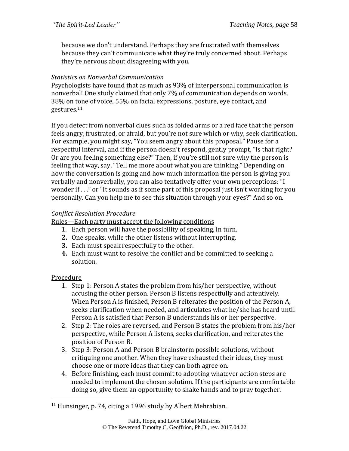because we don't understand. Perhaps they are frustrated with themselves because they can't communicate what they're truly concerned about. Perhaps they're nervous about disagreeing with you.

### *Statistics on Nonverbal Communication*

Psychologists have found that as much as 93% of interpersonal communication is nonverbal! One study claimed that only 7% of communication depends on words, 38% on tone of voice, 55% on facial expressions, posture, eye contact, and gestures.<sup>11</sup>

If you detect from nonverbal clues such as folded arms or a red face that the person feels angry, frustrated, or afraid, but you're not sure which or why, seek clarification. For example, you might say, "You seem angry about this proposal." Pause for a respectful interval, and if the person doesn't respond, gently prompt, "Is that right? Or are you feeling something else?" Then, if you're still not sure why the person is feeling that way, say, "Tell me more about what you are thinking." Depending on how the conversation is going and how much information the person is giving you verbally and nonverbally, you can also tentatively offer your own perceptions: "I wonder if . . ." or "It sounds as if some part of this proposal just isn't working for you personally. Can you help me to see this situation through your eyes?" And so on.

## *Conflict Resolution Procedure*

Rules—Each party must accept the following conditions

- 1. Each person will have the possibility of speaking, in turn.
- **2.** One speaks, while the other listens without interrupting.
- **3.** Each must speak respectfully to the other.
- **4.** Each must want to resolve the conflict and be committed to seeking a solution.

#### Procedure

- 1. Step 1: Person A states the problem from his/her perspective, without accusing the other person. Person B listens respectfully and attentively. When Person A is finished, Person B reiterates the position of the Person A, seeks clarification when needed, and articulates what he/she has heard until Person A is satisfied that Person B understands his or her perspective.
- 2. Step 2: The roles are reversed, and Person B states the problem from his/her perspective, while Person A listens, seeks clarification, and reiterates the position of Person B.
- 3. Step 3: Person A and Person B brainstorm possible solutions, without critiquing one another. When they have exhausted their ideas, they must choose one or more ideas that they can both agree on.
- 4. Before finishing, each must commit to adopting whatever action steps are needed to implement the chosen solution. If the participants are comfortable doing so, give them an opportunity to shake hands and to pray together.

<sup>&</sup>lt;sup>11</sup> Hunsinger, p. 74, citing a 1996 study by Albert Mehrabian.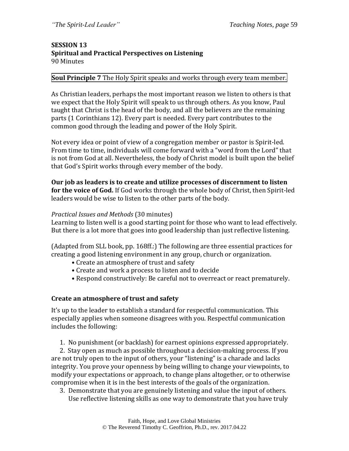### **SESSION 13 Spiritual and Practical Perspectives on Listening**  90 Minutes

#### **Soul Principle 7** The Holy Spirit speaks and works through every team member.

As Christian leaders, perhaps the most important reason we listen to others is that we expect that the Holy Spirit will speak to us through others. As you know, Paul taught that Christ is the head of the body, and all the believers are the remaining parts (1 Corinthians 12). Every part is needed. Every part contributes to the common good through the leading and power of the Holy Spirit.

Not every idea or point of view of a congregation member or pastor is Spirit-led. From time to time, individuals will come forward with a "word from the Lord" that is not from God at all. Nevertheless, the body of Christ model is built upon the belief that God's Spirit works through every member of the body.

**Our job as leaders is to create and utilize processes of discernment to listen for the voice of God.** If God works through the whole body of Christ, then Spirit-led leaders would be wise to listen to the other parts of the body.

#### *Practical Issues and Methods* (30 minutes)

Learning to listen well is a good starting point for those who want to lead effectively. But there is a lot more that goes into good leadership than just reflective listening.

(Adapted from SLL book, pp. 168ff.:) The following are three essential practices for creating a good listening environment in any group, church or organization.

- Create an atmosphere of trust and safety
- Create and work a process to listen and to decide
- Respond constructively: Be careful not to overreact or react prematurely.

#### **Create an atmosphere of trust and safety**

It's up to the leader to establish a standard for respectful communication. This especially applies when someone disagrees with you. Respectful communication includes the following:

1. No punishment (or backlash) for earnest opinions expressed appropriately.

2. Stay open as much as possible throughout a decision-making process. If you are not truly open to the input of others, your "listening" is a charade and lacks integrity. You prove your openness by being willing to change your viewpoints, to modify your expectations or approach, to change plans altogether, or to otherwise compromise when it is in the best interests of the goals of the organization.

3. Demonstrate that you are genuinely listening and value the input of others. Use reflective listening skills as one way to demonstrate that you have truly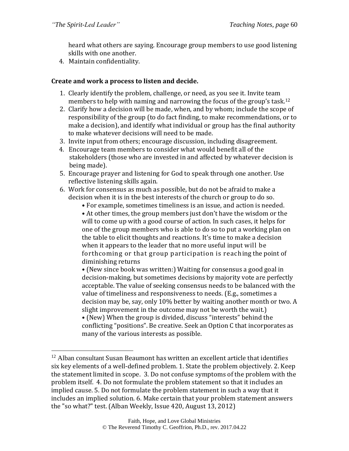heard what others are saying. Encourage group members to use good listening skills with one another.

4. Maintain confidentiality.

#### **Create and work a process to listen and decide.**

- 1. Clearly identify the problem, challenge, or need, as you see it. Invite team members to help with naming and narrowing the focus of the group's task.<sup>12</sup>
- 2. Clarify how a decision will be made, when, and by whom; include the scope of responsibility of the group (to do fact finding, to make recommendations, or to make a decision), and identify what individual or group has the final authority to make whatever decisions will need to be made.
- 3. Invite input from others; encourage discussion, including disagreement.
- 4. Encourage team members to consider what would benefit all of the stakeholders (those who are invested in and affected by whatever decision is being made).
- 5. Encourage prayer and listening for God to speak through one another. Use reflective listening skills again.
- 6. Work for consensus as much as possible, but do not be afraid to make a decision when it is in the best interests of the church or group to do so.
	- For example, sometimes timeliness is an issue, and action is needed.
	- At other times, the group members just don't have the wisdom or the will to come up with a good course of action. In such cases, it helps for one of the group members who is able to do so to put a working plan on the table to elicit thoughts and reactions. It's time to make a decision when it appears to the leader that no more useful input will be forthcoming or that group participation is reaching the point of diminishing returns
	- (New since book was written:) Waiting for consensus a good goal in decision-making, but sometimes decisions by majority vote are perfectly acceptable. The value of seeking consensus needs to be balanced with the value of timeliness and responsiveness to needs. (E.g., sometimes a decision may be, say, only 10% better by waiting another month or two. A slight improvement in the outcome may not be worth the wait.)
	- (New) When the group is divided, discuss "interests" behind the conflicting "positions". Be creative. Seek an Option C that incorporates as many of the various interests as possible.

<sup>&</sup>lt;sup>12</sup> Alban consultant Susan Beaumont has written an excellent article that identifies six key elements of a well-defined problem. 1. State the problem objectively. 2. Keep the statement limited in scope. 3. Do not confuse symptoms of the problem with the problem itself. 4. Do not formulate the problem statement so that it includes an implied cause. 5. Do not formulate the problem statement in such a way that it includes an implied solution. 6. Make certain that your problem statement answers the "so what?" test. (Alban Weekly, Issue 420, August 13, 2012)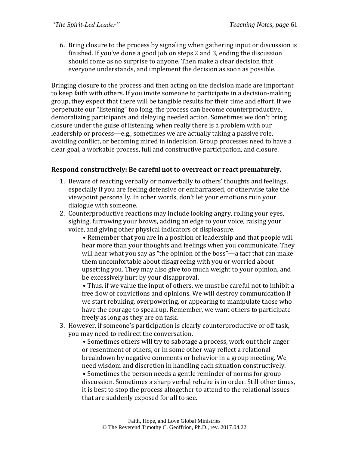6. Bring closure to the process by signaling when gathering input or discussion is finished. If you've done a good job on steps 2 and 3, ending the discussion should come as no surprise to anyone. Then make a clear decision that everyone understands, and implement the decision as soon as possible.

Bringing closure to the process and then acting on the decision made are important to keep faith with others. If you invite someone to participate in a decision-making group, they expect that there will be tangible results for their time and effort. If we perpetuate our "listening" too long, the process can become counterproductive, demoralizing participants and delaying needed action. Sometimes we don't bring closure under the guise of listening, when really there is a problem with our leadership or process—e.g., sometimes we are actually taking a passive role, avoiding conflict, or becoming mired in indecision. Group processes need to have a clear goal, a workable process, full and constructive participation, and closure.

## **Respond constructively: Be careful not to overreact or react prematurely.**

- 1. Beware of reacting verbally or nonverbally to others' thoughts and feelings, especially if you are feeling defensive or embarrassed, or otherwise take the viewpoint personally. In other words, don't let your emotions ruin your dialogue with someone.
- 2. Counterproductive reactions may include looking angry, rolling your eyes, sighing, furrowing your brows, adding an edge to your voice, raising your voice, and giving other physical indicators of displeasure.

• Remember that you are in a position of leadership and that people will hear more than your thoughts and feelings when you communicate. They will hear what you say as "the opinion of the boss"—a fact that can make them uncomfortable about disagreeing with you or worried about upsetting you. They may also give too much weight to your opinion, and be excessively hurt by your disapproval.

• Thus, if we value the input of others, we must be careful not to inhibit a free flow of convictions and opinions. We will destroy communication if we start rebuking, overpowering, or appearing to manipulate those who have the courage to speak up. Remember, we want others to participate freely as long as they are on task.

3. However, if someone's participation is clearly counterproductive or off task, you may need to redirect the conversation.

• Sometimes others will try to sabotage a process, work out their anger or resentment of others, or in some other way reflect a relational breakdown by negative comments or behavior in a group meeting. We need wisdom and discretion in handling each situation constructively. • Sometimes the person needs a gentle reminder of norms for group discussion. Sometimes a sharp verbal rebuke is in order. Still other times, it is best to stop the process altogether to attend to the relational issues that are suddenly exposed for all to see.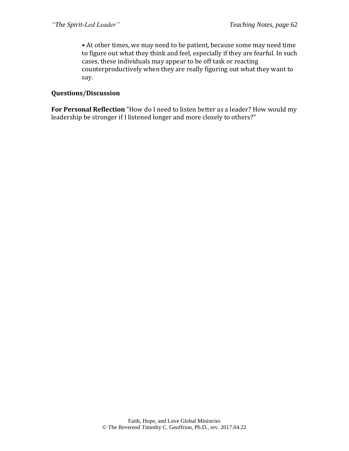• At other times, we may need to be patient, because some may need time to figure out what they think and feel, especially if they are fearful. In such cases, these individuals may appear to be off task or reacting counterproductively when they are really figuring out what they want to say.

### **Questions/Discussion**

**For Personal Reflection** "How do I need to listen better as a leader? How would my leadership be stronger if I listened longer and more closely to others?"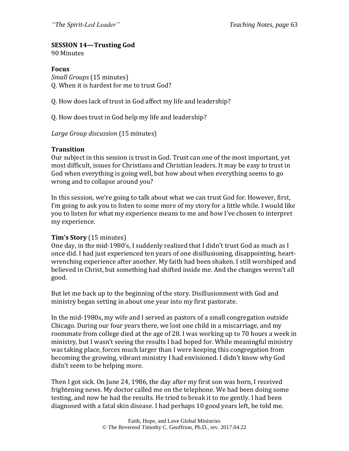## **SESSION 14—Trusting God**

90 Minutes

#### **Focus**

*Small Groups* (15 minutes) Q. When it is hardest for me to trust God?

Q. How does lack of trust in God affect my life and leadership?

Q. How does trust in God help my life and leadership?

*Large Group discussion* (15 minutes)

### **Transition**

Our subject in this session is trust in God. Trust can one of the most important, yet most difficult, issues for Christians and Christian leaders. It may be easy to trust in God when everything is going well, but how about when everything seems to go wrong and to collapse around you?

In this session, we're going to talk about what we can trust God for. However, first, I'm going to ask you to listen to some more of my story for a little while. I would like you to listen for what my experience means to me and how I've chosen to interpret my experience.

#### **Tim's Story** (15 minutes)

One day, in the mid-1980's, I suddenly realized that I didn't trust God as much as I once did. I had just experienced ten years of one disillusioning, disappointing, heartwrenching experience after another. My faith had been shaken. I still worshiped and believed in Christ, but something had shifted inside me. And the changes weren't all good.

But let me back up to the beginning of the story. Disillusionment with God and ministry began setting in about one year into my first pastorate.

In the mid-1980s, my wife and I served as pastors of a small congregation outside Chicago. During our four years there, we lost one child in a miscarriage, and my roommate from college died at the age of 28. I was working up to 70 hours a week in ministry, but I wasn't seeing the results I had hoped for. While meaningful ministry was taking place, forces much larger than I were keeping this congregation from becoming the growing, vibrant ministry I had envisioned. I didn't know why God didn't seem to be helping more.

Then I got sick. On June 24, 1986, the day after my first son was born, I received frightening news. My doctor called me on the telephone. We had been doing some testing, and now he had the results. He tried to break it to me gently. I had been diagnosed with a fatal skin disease. I had perhaps 10 good years left, he told me.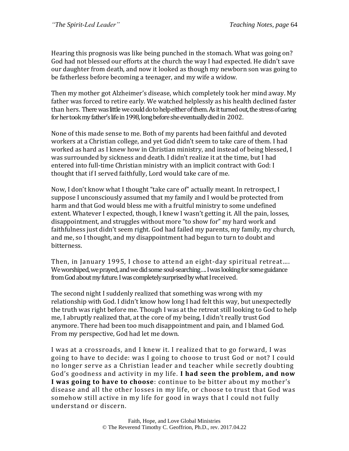Hearing this prognosis was like being punched in the stomach. What was going on? God had not blessed our efforts at the church the way I had expected. He didn't save our daughter from death, and now it looked as though my newborn son was going to be fatherless before becoming a teenager, and my wife a widow.

Then my mother got Alzheimer's disease, which completely took her mind away. My father was forced to retire early. We watched helplessly as his health declined faster than hers. There was little we could do to help either of them. As it turned out, the stress of caring for her took my father's life in 1998, long before she eventually died in 2002.

None of this made sense to me. Both of my parents had been faithful and devoted workers at a Christian college, and yet God didn't seem to take care of them. I had worked as hard as I knew how in Christian ministry, and instead of being blessed, I was surrounded by sickness and death. I didn't realize it at the time, but I had entered into full-time Christian ministry with an implicit contract with God: I thought that if I served faithfully, Lord would take care of me.

Now, I don't know what I thought "take care of" actually meant. In retrospect, I suppose I unconsciously assumed that my family and I would be protected from harm and that God would bless me with a fruitful ministry to some undefined extent. Whatever I expected, though, I knew I wasn't getting it. All the pain, losses, disappointment, and struggles without more "to show for" my hard work and faithfulness just didn't seem right. God had failed my parents, my family, my church, and me, so I thought, and my disappointment had begun to turn to doubt and bitterness.

Then, in January 1995, I chose to attend an eight-day spiritual retreat…. We worshiped, we prayed, and we did some soul-searching…. I was looking for some guidance from God about my future. I was completely surprised by what I received.

The second night I suddenly realized that something was wrong with my relationship with God. I didn't know how long I had felt this way, but unexpectedly the truth was right before me. Though I was at the retreat still looking to God to help me, I abruptly realized that, at the core of my being, I didn't really trust God anymore. There had been too much disappointment and pain, and I blamed God. From my perspective, God had let me down.

I was at a crossroads, and I knew it. I realized that to go forward, I was going to have to decide: was I going to choose to trust God or not? I could no longer serve as a Christian leader and teacher while secretly doubting God's goodness and activity in my life. **I had seen the problem, and now I was going to have to choose**: continue to be bitter about my mother's disease and all the other losses in my life, or choose to trust that God was somehow still active in my life for good in ways that I could not fully understand or discern.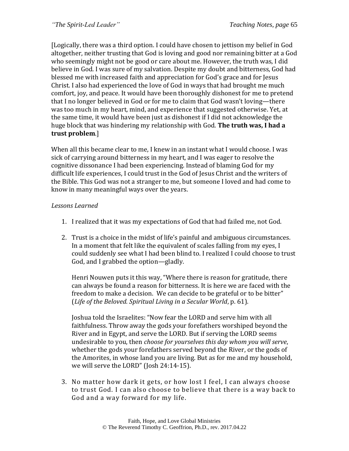[Logically, there was a third option. I could have chosen to jettison my belief in God altogether, neither trusting that God is loving and good nor remaining bitter at a God who seemingly might not be good or care about me. However, the truth was, I did believe in God. I was sure of my salvation. Despite my doubt and bitterness, God had blessed me with increased faith and appreciation for God's grace and for Jesus Christ. I also had experienced the love of God in ways that had brought me much comfort, joy, and peace. It would have been thoroughly dishonest for me to pretend that I no longer believed in God or for me to claim that God wasn't loving—there was too much in my heart, mind, and experience that suggested otherwise. Yet, at the same time, it would have been just as dishonest if I did not acknowledge the huge block that was hindering my relationship with God. **The truth was, I had a trust problem**.]

When all this became clear to me, I knew in an instant what I would choose. I was sick of carrying around bitterness in my heart, and I was eager to resolve the cognitive dissonance I had been experiencing. Instead of blaming God for my difficult life experiences, I could trust in the God of Jesus Christ and the writers of the Bible. This God was not a stranger to me, but someone I loved and had come to know in many meaningful ways over the years.

## *Lessons Learned*

- 1. I realized that it was my expectations of God that had failed me, not God.
- 2. Trust is a choice in the midst of life's painful and ambiguous circumstances. In a moment that felt like the equivalent of scales falling from my eyes, I could suddenly see what I had been blind to. I realized I could choose to trust God, and I grabbed the option—gladly.

Henri Nouwen puts it this way, "Where there is reason for gratitude, there can always be found a reason for bitterness. It is here we are faced with the freedom to make a decision. We can decide to be grateful or to be bitter" (*Life of the Beloved. Spiritual Living in a Secular World*, p. 61).

Joshua told the Israelites: "Now fear the LORD and serve him with all faithfulness. Throw away the gods your forefathers worshiped beyond the River and in Egypt, and serve the LORD. But if serving the LORD seems undesirable to you, then *choose for yourselves this day whom you will serve*, whether the gods your forefathers served beyond the River, or the gods of the Amorites, in whose land you are living. But as for me and my household, we will serve the LORD" (Josh 24:14-15).

3. No matter how dark it gets, or how lost I feel, I can always choose to trust God. I can also choose to believe that there is a way back to God and a way forward for my life.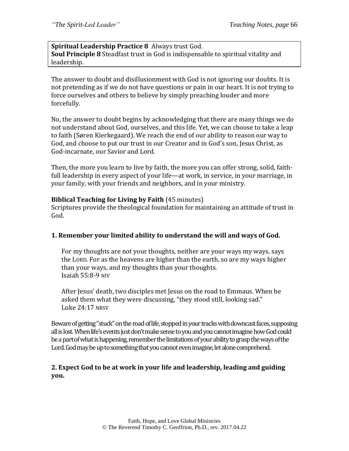#### **Spiritual Leadership Practice 8** Always trust God. **Soul Principle 8** Steadfast trust in God is indispensable to spiritual vitality and leadership.

The answer to doubt and disillusionment with God is not ignoring our doubts. It is not pretending as if we do not have questions or pain in our heart. It is not trying to force ourselves and others to believe by simply preaching louder and more forcefully.

No, the answer to doubt begins by acknowledging that there are many things we do not understand about God, ourselves, and this life. Yet, we can choose to take a leap to faith (Søren Kierkegaard). We reach the end of our ability to reason our way to God, and choose to put our trust in our Creator and in God's son, Jesus Christ, as God-incarnate, our Savior and Lord.

Then, the more you learn to live by faith, the more you can offer strong, solid, faithfull leadership in every aspect of your life—at work, in service, in your marriage, in your family, with your friends and neighbors, and in your ministry.

# **Biblical Teaching for Living by Faith** (45 minutes)

Scriptures provide the theological foundation for maintaining an attitude of trust in God.

## **1. Remember your limited ability to understand the will and ways of God.**

For my thoughts are not your thoughts, neither are your ways my ways, says the LORD. For as the heavens are higher than the earth, so are my ways higher than your ways, and my thoughts than your thoughts. Isaiah 55:8-9 NIV

After Jesus' death, two disciples met Jesus on the road to Emmaus. When he asked them what they were discussing, "they stood still, looking sad." Luke 24:17 NRSV

Beware of getting "stuck" on the road of life, stopped in your tracks with downcast faces, supposing all is lost. When life's events just don't make sense to you and you cannot imagine how God could be a part of what is happening, remember the limitations of your ability to grasp the ways of the Lord. God may be up to something that you cannot even imagine, let alone comprehend.

# **2. Expect God to be at work in your life and leadership, leading and guiding you.**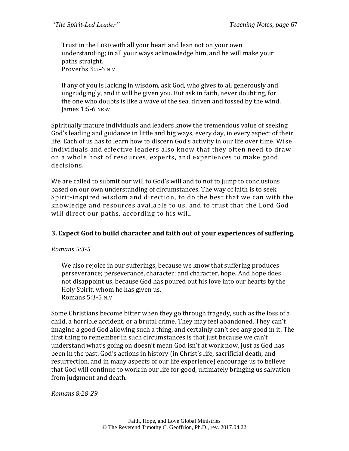Trust in the LORD with all your heart and lean not on your own understanding; in all your ways acknowledge him, and he will make your paths straight.

Proverbs 3:5-6 NIV

If any of you is lacking in wisdom, ask God, who gives to all generously and ungrudgingly, and it will be given you. But ask in faith, never doubting, for the one who doubts is like a wave of the sea, driven and tossed by the wind. James 1:5-6 NRSV

Spiritually mature individuals and leaders know the tremendous value of seeking God's leading and guidance in little and big ways, every day, in every aspect of their life. Each of us has to learn how to discern God's activity in our life over time. Wise individuals and effective leaders also know that they often need to draw on a whole host of resources, experts, and experiences to make good decisions.

We are called to submit our will to God's will and to not to jump to conclusions based on our own understanding of circumstances. The way of faith is to seek Spirit-inspired wisdom and direction, to do the best that we can with the knowledge and resources available to us, and to trust that the Lord God will direct our paths, according to his will.

## **3. Expect God to build character and faith out of your experiences of suffering.**

## *Romans 5:3-5*

We also rejoice in our sufferings, because we know that suffering produces perseverance; perseverance, character; and character, hope. And hope does not disappoint us, because God has poured out his love into our hearts by the Holy Spirit, whom he has given us. Romans 5:3-5 NIV

Some Christians become bitter when they go through tragedy, such as the loss of a child, a horrible accident, or a brutal crime. They may feel abandoned. They can't imagine a good God allowing such a thing, and certainly can't see any good in it. The first thing to remember in such circumstances is that just because we can't understand what's going on doesn't mean God isn't at work now, just as God has been in the past. God's actions in history (in Christ's life, sacrificial death, and resurrection, and in many aspects of our life experience) encourage us to believe that God will continue to work in our life for good, ultimately bringing us salvation from judgment and death.

*Romans 8:28-29*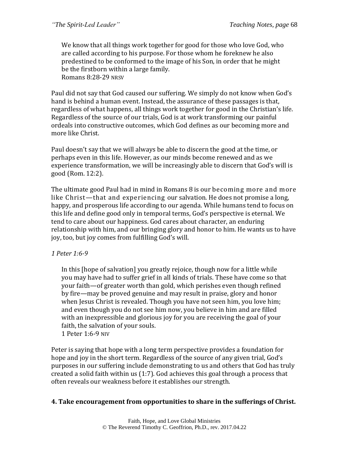We know that all things work together for good for those who love God, who are called according to his purpose. For those whom he foreknew he also predestined to be conformed to the image of his Son, in order that he might be the firstborn within a large family. Romans 8:28-29 NRSV

Paul did not say that God caused our suffering. We simply do not know when God's hand is behind a human event. Instead, the assurance of these passages is that, regardless of what happens, all things work together for good in the Christian's life. Regardless of the source of our trials, God is at work transforming our painful ordeals into constructive outcomes, which God defines as our becoming more and more like Christ.

Paul doesn't say that we will always be able to discern the good at the time, or perhaps even in this life. However, as our minds become renewed and as we experience transformation, we will be increasingly able to discern that God's will is good (Rom. 12:2).

The ultimate good Paul had in mind in Romans 8 is our becoming more and more like Christ—that and experiencing our salvation. He does not promise a long, happy, and prosperous life according to our agenda. While humans tend to focus on this life and define good only in temporal terms, God's perspective is eternal. We tend to care about our happiness. God cares about character, an enduring relationship with him, and our bringing glory and honor to him. He wants us to have joy, too, but joy comes from fulfilling God's will.

#### *1 Peter 1:6-9*

In this [hope of salvation] you greatly rejoice, though now for a little while you may have had to suffer grief in all kinds of trials. These have come so that your faith—of greater worth than gold, which perishes even though refined by fire—may be proved genuine and may result in praise, glory and honor when Jesus Christ is revealed. Though you have not seen him, you love him; and even though you do not see him now, you believe in him and are filled with an inexpressible and glorious joy for you are receiving the goal of your faith, the salvation of your souls.

1 Peter 1:6-9 NIV

Peter is saying that hope with a long term perspective provides a foundation for hope and joy in the short term. Regardless of the source of any given trial, God's purposes in our suffering include demonstrating to us and others that God has truly created a solid faith within us (1:7). God achieves this goal through a process that often reveals our weakness before it establishes our strength.

#### **4. Take encouragement from opportunities to share in the sufferings of Christ.**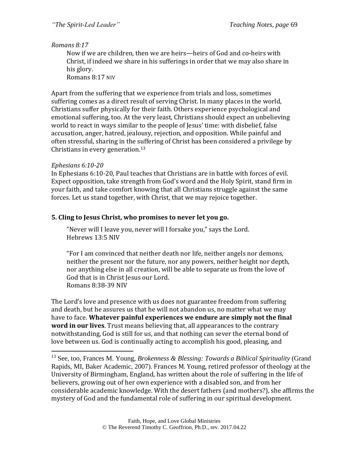## *Romans 8:17*

Now if we are children, then we are heirs—heirs of God and co-heirs with Christ, if indeed we share in his sufferings in order that we may also share in his glory.

Romans 8:17 NIV

Apart from the suffering that we experience from trials and loss, sometimes suffering comes as a direct result of serving Christ. In many places in the world, Christians suffer physically for their faith. Others experience psychological and emotional suffering, too. At the very least, Christians should expect an unbelieving world to react in ways similar to the people of Jesus' time: with disbelief, false accusation, anger, hatred, jealousy, rejection, and opposition. While painful and often stressful, sharing in the suffering of Christ has been considered a privilege by Christians in every generation.<sup>13</sup>

## *Ephesians 6:10-20*

In Ephesians 6:10-20, Paul teaches that Christians are in battle with forces of evil. Expect opposition, take strength from God's word and the Holy Spirit, stand firm in your faith, and take comfort knowing that all Christians struggle against the same forces. Let us stand together, with Christ, that we may rejoice together.

# **5. Cling to Jesus Christ, who promises to never let you go.**

"Never will I leave you, never will I forsake you," says the Lord. Hebrews 13:5 NIV

"For I am convinced that neither death nor life, neither angels nor demons, neither the present nor the future, nor any powers, neither height nor depth, nor anything else in all creation, will be able to separate us from the love of God that is in Christ Jesus our Lord. Romans 8:38-39 NIV

The Lord's love and presence with us does not guarantee freedom from suffering and death, but he assures us that he will not abandon us, no matter what we may have to face. **Whatever painful experiences we endure are simply not the final word in our lives**. Trust means believing that, all appearances to the contrary notwithstanding, God is still for us, and that nothing can sever the eternal bond of love between us. God is continually acting to accomplish his good, pleasing, and

<sup>13</sup> See, too, Frances M. Young, *Brokenness & Blessing: Towards a Biblical Spirituality* (Grand Rapids, MI, Baker Academic, 2007). Frances M. Young, retired professor of theology at the University of Birmingham, England, has written about the role of suffering in the life of believers, growing out of her own experience with a disabled son, and from her considerable academic knowledge. With the desert fathers (and mothers?), she affirms the mystery of God and the fundamental role of suffering in our spiritual development.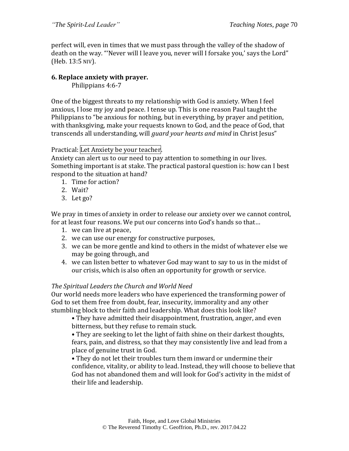perfect will, even in times that we must pass through the valley of the shadow of death on the way. "'Never will I leave you, never will I forsake you,' says the Lord" (Heb. 13:5 NIV).

## **6. Replace anxiety with prayer.**

Philippians 4:6-7

One of the biggest threats to my relationship with God is anxiety. When I feel anxious, I lose my joy and peace. I tense up. This is one reason Paul taught the Philippians to "be anxious for nothing, but in everything, by prayer and petition, with thanksgiving, make your requests known to God, and the peace of God, that transcends all understanding, will *guard your hearts and mind* in Christ Jesus"

# Practical: Let Anxiety be your teacher.

Anxiety can alert us to our need to pay attention to something in our lives. Something important is at stake. The practical pastoral question is: how can I best respond to the situation at hand?

- 1. Time for action?
- 2. Wait?
- 3. Let go?

We pray in times of anxiety in order to release our anxiety over we cannot control, for at least four reasons. We put our concerns into God's hands so that…

- 1. we can live at peace,
- 2. we can use our energy for constructive purposes,
- 3. we can be more gentle and kind to others in the midst of whatever else we may be going through, and
- 4. we can listen better to whatever God may want to say to us in the midst of our crisis, which is also often an opportunity for growth or service.

## *The Spiritual Leaders the Church and World Need*

Our world needs more leaders who have experienced the transforming power of God to set them free from doubt, fear, insecurity, immorality and any other stumbling block to their faith and leadership. What does this look like?

• They have admitted their disappointment, frustration, anger, and even bitterness, but they refuse to remain stuck.

• They are seeking to let the light of faith shine on their darkest thoughts, fears, pain, and distress, so that they may consistently live and lead from a place of genuine trust in God.

• They do not let their troubles turn them inward or undermine their confidence, vitality, or ability to lead. Instead, they will choose to believe that God has not abandoned them and will look for God's activity in the midst of their life and leadership.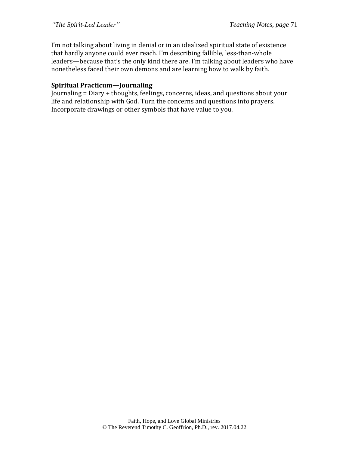I'm not talking about living in denial or in an idealized spiritual state of existence that hardly anyone could ever reach. I'm describing fallible, less-than-whole leaders—because that's the only kind there are. I'm talking about leaders who have nonetheless faced their own demons and are learning how to walk by faith.

### **Spiritual Practicum—Journaling**

Journaling = Diary + thoughts, feelings, concerns, ideas, and questions about your life and relationship with God. Turn the concerns and questions into prayers. Incorporate drawings or other symbols that have value to you.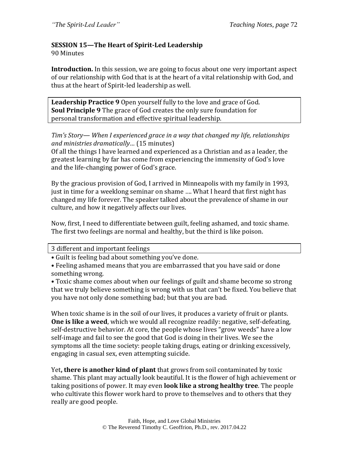# **SESSION 15—The Heart of Spirit-Led Leadership**

90 Minutes

**Introduction.** In this session, we are going to focus about one very important aspect of our relationship with God that is at the heart of a vital relationship with God, and thus at the heart of Spirit-led leadership as well.

**Leadership Practice 9** Open yourself fully to the love and grace of God. **Soul Principle 9** The grace of God creates the only sure foundation for personal transformation and effective spiritual leadership.

*Tim's Story— When I experienced grace in a way that changed my life, relationships and ministries dramatically…* (15 minutes)

Of all the things I have learned and experienced as a Christian and as a leader, the greatest learning by far has come from experiencing the immensity of God's love and the life-changing power of God's grace.

By the gracious provision of God, I arrived in Minneapolis with my family in 1993, just in time for a weeklong seminar on shame …. What I heard that first night has changed my life forever. The speaker talked about the prevalence of shame in our culture, and how it negatively affects our lives.

Now, first, I need to differentiate between guilt, feeling ashamed, and toxic shame. The first two feelings are normal and healthy, but the third is like poison.

#### 3 different and important feelings

• Guilt is feeling bad about something you've done.

• Feeling ashamed means that you are embarrassed that you have said or done something wrong.

• Toxic shame comes about when our feelings of guilt and shame become so strong that we truly believe something is wrong with us that can't be fixed. You believe that you have not only done something bad; but that you are bad.

When toxic shame is in the soil of our lives, it produces a variety of fruit or plants. **One is like a weed**, which we would all recognize readily: negative, self-defeating, self-destructive behavior. At core, the people whose lives "grow weeds" have a low self-image and fail to see the good that God is doing in their lives. We see the symptoms all the time society: people taking drugs, eating or drinking excessively, engaging in casual sex, even attempting suicide.

Yet**, there is another kind of plant** that grows from soil contaminated by toxic shame. This plant may actually look beautiful. It is the flower of high achievement or taking positions of power. It may even **look like a strong healthy tree**. The people who cultivate this flower work hard to prove to themselves and to others that they really are good people.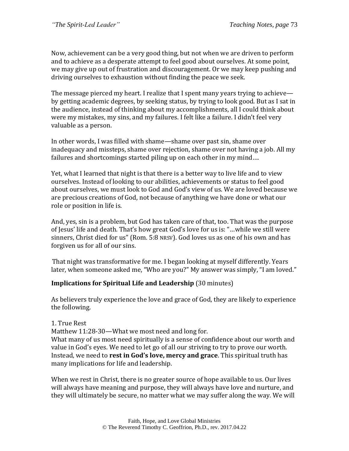Now, achievement can be a very good thing, but not when we are driven to perform and to achieve as a desperate attempt to feel good about ourselves. At some point, we may give up out of frustration and discouragement. Or we may keep pushing and driving ourselves to exhaustion without finding the peace we seek.

The message pierced my heart. I realize that I spent many years trying to achieve by getting academic degrees, by seeking status, by trying to look good. But as I sat in the audience, instead of thinking about my accomplishments, all I could think about were my mistakes, my sins, and my failures. I felt like a failure. I didn't feel very valuable as a person.

In other words, I was filled with shame—shame over past sin, shame over inadequacy and missteps, shame over rejection, shame over not having a job. All my failures and shortcomings started piling up on each other in my mind….

Yet, what I learned that night is that there is a better way to live life and to view ourselves. Instead of looking to our abilities, achievements or status to feel good about ourselves, we must look to God and God's view of us. We are loved because we are precious creations of God, not because of anything we have done or what our role or position in life is.

And, yes, sin is a problem, but God has taken care of that, too. That was the purpose of Jesus' life and death. That's how great God's love for us is: "…while we still were sinners, Christ died for us" (Rom. 5:8 NRSV). God loves us as one of his own and has forgiven us for all of our sins.

That night was transformative for me. I began looking at myself differently. Years later, when someone asked me, "Who are you?" My answer was simply, "I am loved."

# **Implications for Spiritual Life and Leadership** (30 minutes)

As believers truly experience the love and grace of God, they are likely to experience the following.

## 1. True Rest

Matthew 11:28-30—What we most need and long for.

What many of us most need spiritually is a sense of confidence about our worth and value in God's eyes. We need to let go of all our striving to try to prove our worth. Instead, we need to **rest in God's love, mercy and grace**. This spiritual truth has many implications for life and leadership.

When we rest in Christ, there is no greater source of hope available to us. Our lives will always have meaning and purpose, they will always have love and nurture, and they will ultimately be secure, no matter what we may suffer along the way. We will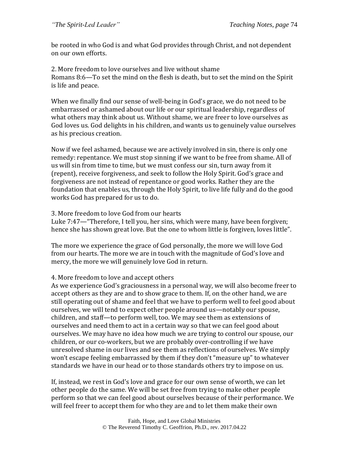be rooted in who God is and what God provides through Christ, and not dependent on our own efforts.

2. More freedom to love ourselves and live without shame Romans 8:6—To set the mind on the flesh is death, but to set the mind on the Spirit is life and peace.

When we finally find our sense of well-being in God's grace, we do not need to be embarrassed or ashamed about our life or our spiritual leadership, regardless of what others may think about us. Without shame, we are freer to love ourselves as God loves us. God delights in his children, and wants us to genuinely value ourselves as his precious creation.

Now if we feel ashamed, because we are actively involved in sin, there is only one remedy: repentance. We must stop sinning if we want to be free from shame. All of us will sin from time to time, but we must confess our sin, turn away from it (repent), receive forgiveness, and seek to follow the Holy Spirit. God's grace and forgiveness are not instead of repentance or good works. Rather they are the foundation that enables us, through the Holy Spirit, to live life fully and do the good works God has prepared for us to do.

## 3. More freedom to love God from our hearts

Luke 7:47—"Therefore, I tell you, her sins, which were many, have been forgiven; hence she has shown great love. But the one to whom little is forgiven, loves little".

The more we experience the grace of God personally, the more we will love God from our hearts. The more we are in touch with the magnitude of God's love and mercy, the more we will genuinely love God in return.

# 4. More freedom to love and accept others

As we experience God's graciousness in a personal way, we will also become freer to accept others as they are and to show grace to them. If, on the other hand, we are still operating out of shame and feel that we have to perform well to feel good about ourselves, we will tend to expect other people around us—notably our spouse, children, and staff—to perform well, too. We may see them as extensions of ourselves and need them to act in a certain way so that we can feel good about ourselves. We may have no idea how much we are trying to control our spouse, our children, or our co-workers, but we are probably over-controlling if we have unresolved shame in our lives and see them as reflections of ourselves. We simply won't escape feeling embarrassed by them if they don't "measure up" to whatever standards we have in our head or to those standards others try to impose on us.

If, instead, we rest in God's love and grace for our own sense of worth, we can let other people do the same. We will be set free from trying to make other people perform so that we can feel good about ourselves because of their performance. We will feel freer to accept them for who they are and to let them make their own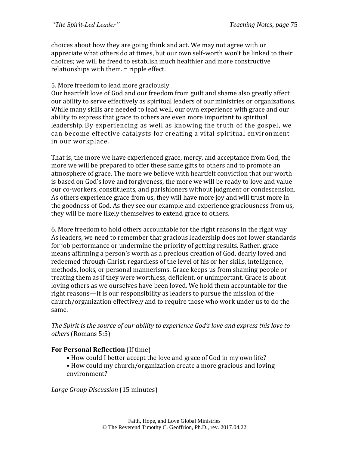choices about how they are going think and act. We may not agree with or appreciate what others do at times, but our own self-worth won't be linked to their choices; we will be freed to establish much healthier and more constructive relationships with them. = ripple effect.

# 5. More freedom to lead more graciously

Our heartfelt love of God and our freedom from guilt and shame also greatly affect our ability to serve effectively as spiritual leaders of our ministries or organizations. While many skills are needed to lead well, our own experience with grace and our ability to express that grace to others are even more important to spiritual leadership. By experiencing as well as knowing the truth of the gospel, we can become effective catalysts for creating a vital spiritual environment in our workplace.

That is, the more we have experienced grace, mercy, and acceptance from God, the more we will be prepared to offer these same gifts to others and to promote an atmosphere of grace. The more we believe with heartfelt conviction that our worth is based on God's love and forgiveness, the more we will be ready to love and value our co-workers, constituents, and parishioners without judgment or condescension. As others experience grace from us, they will have more joy and will trust more in the goodness of God. As they see our example and experience graciousness from us, they will be more likely themselves to extend grace to others.

6. More freedom to hold others accountable for the right reasons in the right way As leaders, we need to remember that gracious leadership does not lower standards for job performance or undermine the priority of getting results. Rather, grace means affirming a person's worth as a precious creation of God, dearly loved and redeemed through Christ, regardless of the level of his or her skills, intelligence, methods, looks, or personal mannerisms. Grace keeps us from shaming people or treating them as if they were worthless, deficient, or unimportant. Grace is about loving others as we ourselves have been loved. We hold them accountable for the right reasons—it is our responsibility as leaders to pursue the mission of the church/organization effectively and to require those who work under us to do the same.

*The Spirit is the source of our ability to experience God's love and express this love to others* (Romans 5:5)

# **For Personal Reflection** (If time)

- How could I better accept the love and grace of God in my own life?
- How could my church/organization create a more gracious and loving environment?

*Large Group Discussion* (15 minutes)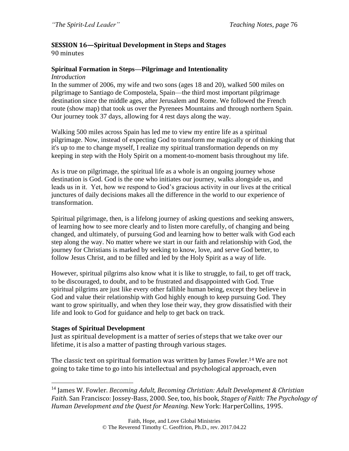#### **SESSION 16—Spiritual Development in Steps and Stages** 90 minutes

## **Spiritual Formation in Steps—Pilgrimage and Intentionality** *Introduction*

In the summer of 2006, my wife and two sons (ages 18 and 20), walked 500 miles on pilgrimage to Santiago de Compostela, Spain—the third most important pilgrimage destination since the middle ages, after Jerusalem and Rome. We followed the French route (show map) that took us over the Pyrenees Mountains and through northern Spain. Our journey took 37 days, allowing for 4 rest days along the way.

Walking 500 miles across Spain has led me to view my entire life as a spiritual pilgrimage. Now, instead of expecting God to transform me magically or of thinking that it's up to me to change myself, I realize my spiritual transformation depends on my keeping in step with the Holy Spirit on a moment-to-moment basis throughout my life.

As is true on pilgrimage, the spiritual life as a whole is an ongoing journey whose destination is God. God is the one who initiates our journey, walks alongside us, and leads us in it. Yet, how we respond to God's gracious activity in our lives at the critical junctures of daily decisions makes all the difference in the world to our experience of transformation.

Spiritual pilgrimage, then, is a lifelong journey of asking questions and seeking answers, of learning how to see more clearly and to listen more carefully, of changing and being changed, and ultimately, of pursuing God and learning how to better walk with God each step along the way. No matter where we start in our faith and relationship with God, the journey for Christians is marked by seeking to know, love, and serve God better, to follow Jesus Christ, and to be filled and led by the Holy Spirit as a way of life.

However, spiritual pilgrims also know what it is like to struggle, to fail, to get off track, to be discouraged, to doubt, and to be frustrated and disappointed with God. True spiritual pilgrims are just like every other fallible human being, except they believe in God and value their relationship with God highly enough to keep pursuing God. They want to grow spiritually, and when they lose their way, they grow dissatisfied with their life and look to God for guidance and help to get back on track.

## **Stages of Spiritual Development**

Just as spiritual development is a matter of series of steps that we take over our lifetime, it is also a matter of pasting through various stages.

The classic text on spiritual formation was written by James Fowler.<sup>14</sup> We are not going to take time to go into his intellectual and psychological approach, even

<sup>14</sup> James W. Fowler. *Becoming Adult, Becoming Christian: Adult Development & Christian Faith*. San Francisco: Jossey-Bass, 2000. See, too, his book, *Stages of Faith: The Psychology of Human Development and the Quest for Meaning*. New York: HarperCollins, 1995.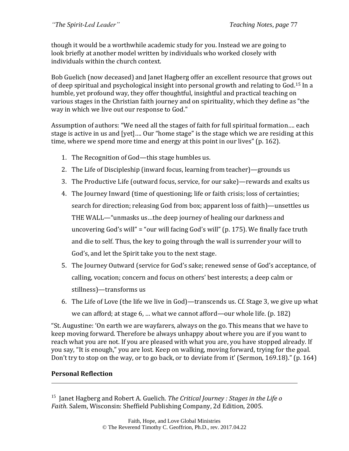though it would be a worthwhile academic study for you. Instead we are going to look briefly at another model written by individuals who worked closely with individuals within the church context.

Bob Guelich (now deceased) and Janet Hagberg offer an excellent resource that grows out of deep spiritual and psychological insight into personal growth and relating to God.<sup>15</sup> In a humble, yet profound way, they offer thoughtful, insightful and practical teaching on various stages in the Christian faith journey and on spirituality, which they define as "the way in which we live out our response to God."

Assumption of authors: "We need all the stages of faith for full spiritual formation…. each stage is active in us and [yet]…. Our "home stage" is the stage which we are residing at this time, where we spend more time and energy at this point in our lives" (p. 162).

- 1. The Recognition of God—this stage humbles us.
- 2. The Life of Discipleship (inward focus, learning from teacher)—grounds us
- 3. The Productive Life (outward focus, service, for our sake)—rewards and exalts us
- 4. The Journey Inward (time of questioning; life or faith crisis; loss of certainties; search for direction; releasing God from box; apparent loss of faith)—unsettles us THE WALL—"unmasks us…the deep journey of healing our darkness and uncovering God's will" = "our will facing God's will" (p. 175). We finally face truth and die to self. Thus, the key to going through the wall is surrender your will to God's, and let the Spirit take you to the next stage.
- 5. The Journey Outward (service for God's sake; renewed sense of God's acceptance, of calling, vocation; concern and focus on others' best interests; a deep calm or stillness)—transforms us
- 6. The Life of Love (the life we live in God)—transcends us. Cf. Stage 3, we give up what we can afford; at stage 6, … what we cannot afford—our whole life. (p. 182)

"St. Augustine: 'On earth we are wayfarers, always on the go. This means that we have to keep moving forward. Therefore be always unhappy about where you are if you want to reach what you are not. If you are pleased with what you are, you have stopped already. If you say, "It is enough," you are lost. Keep on walking, moving forward, trying for the goal. Don't try to stop on the way, or to go back, or to deviate from it' (Sermon, 169.18)." (p. 164)

# **Personal Reflection**

<sup>15</sup> Janet Hagberg and Robert A. Guelich. *The Critical Journey : Stages in the Life o Faith*. Salem, Wisconsin: Sheffield Publishing Company, 2d Edition, 2005.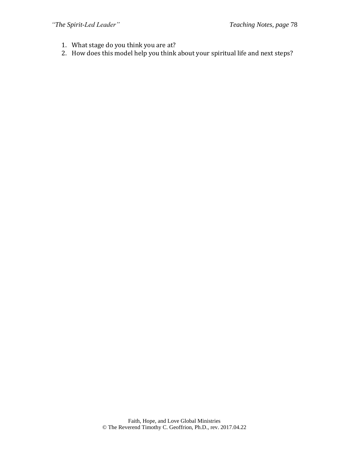- 1. What stage do you think you are at?
- 2. How does this model help you think about your spiritual life and next steps?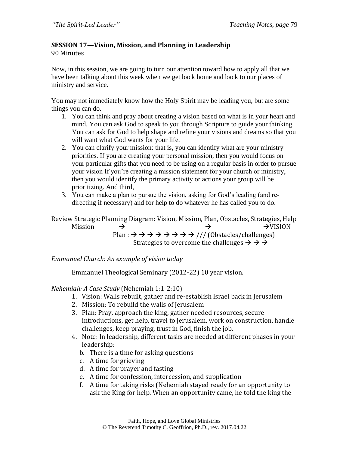#### **SESSION 17—Vision, Mission, and Planning in Leadership** 90 Minutes

Now, in this session, we are going to turn our attention toward how to apply all that we have been talking about this week when we get back home and back to our places of ministry and service.

You may not immediately know how the Holy Spirit may be leading you, but are some things you can do.

- 1. You can think and pray about creating a vision based on what is in your heart and mind. You can ask God to speak to you through Scripture to guide your thinking. You can ask for God to help shape and refine your visions and dreams so that you will want what God wants for your life.
- 2. You can clarify your mission: that is, you can identify what are your ministry priorities. If you are creating your personal mission, then you would focus on your particular gifts that you need to be using on a regular basis in order to pursue your vision If you're creating a mission statement for your church or ministry, then you would identify the primary activity or actions your group will be prioritizing. And third,
- 3. You can make a plan to pursue the vision, asking for God's leading (and redirecting if necessary) and for help to do whatever he has called you to do.

Review Strategic Planning Diagram: Vision, Mission, Plan, Obstacles, Strategies, Help Mission ----------→-----------------------------------→ ----------------------→VISION Plan :  $\rightarrow \rightarrow \rightarrow \rightarrow \rightarrow \rightarrow \rightarrow$  /// (Obstacles/challenges)

Strategies to overcome the challenges  $\rightarrow \rightarrow \rightarrow$ 

*Emmanuel Church: An example of vision today*

Emmanuel Theological Seminary (2012-22) 10 year vision.

# *Nehemiah: A Case Study* (Nehemiah 1:1-2:10)

- 1. Vision: Walls rebuilt, gather and re-establish Israel back in Jerusalem
- 2. Mission: To rebuild the walls of Jerusalem
- 3. Plan: Pray, approach the king, gather needed resources, secure introductions, get help, travel to Jerusalem, work on construction, handle challenges, keep praying, trust in God, finish the job.
- 4. Note: In leadership, different tasks are needed at different phases in your leadership:
	- b. There is a time for asking questions
	- c. A time for grieving
	- d. A time for prayer and fasting
	- e. A time for confession, intercession, and supplication
	- f. A time for taking risks (Nehemiah stayed ready for an opportunity to ask the King for help. When an opportunity came, he told the king the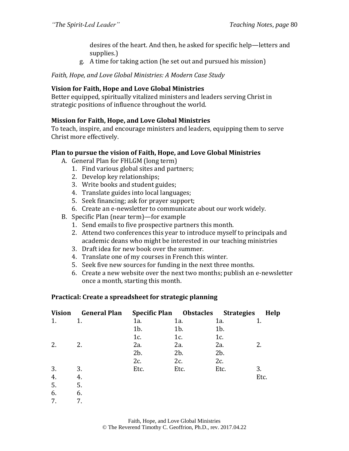desires of the heart. And then, he asked for specific help—letters and supplies.)

g. A time for taking action (he set out and pursued his mission)

*Faith, Hope, and Love Global Ministries: A Modern Case Study*

## **Vision for Faith, Hope and Love Global Ministries**

Better equipped, spiritually vitalized ministers and leaders serving Christ in strategic positions of influence throughout the world.

## **Mission for Faith, Hope, and Love Global Ministries**

To teach, inspire, and encourage ministers and leaders, equipping them to serve Christ more effectively.

# **Plan to pursue the vision of Faith, Hope, and Love Global Ministries**

- A. General Plan for FHLGM (long term)
	- 1. Find various global sites and partners;
	- 2. Develop key relationships;
	- 3. Write books and student guides;
	- 4. Translate guides into local languages;
	- 5. Seek financing; ask for prayer support;
	- 6. Create an e-newsletter to communicate about our work widely.
- B. Specific Plan (near term)—for example
	- 1. Send emails to five prospective partners this month.
	- 2. Attend two conferences this year to introduce myself to principals and academic deans who might be interested in our teaching ministries
	- 3. Draft idea for new book over the summer.
	- 4. Translate one of my courses in French this winter.
	- 5. Seek five new sources for funding in the next three months.
	- 6. Create a new website over the next two months; publish an e-newsletter once a month, starting this month.

## **Practical: Create a spreadsheet for strategic planning**

| <b>Vision</b> | <b>General Plan</b> | <b>Specific Plan Obstacles</b> |        | <b>Strategies</b> | Help |
|---------------|---------------------|--------------------------------|--------|-------------------|------|
| 1.            | 1.                  | 1a.                            | 1a.    | 1a.               |      |
|               |                     | 1 <sub>b</sub>                 | $1b$ . | $1b$ .            |      |
|               |                     | 1c.                            | $1c$ . | 1c.               |      |
| 2.            | 2.                  | 2a.                            | 2a.    | 2a.               | 2.   |
|               |                     | $2b$ .                         | $2b$ . | $2b$ .            |      |
|               |                     | 2c.                            | 2c.    | 2c.               |      |
| 3.            | 3.                  | Etc.                           | Etc.   | Etc.              | 3.   |
| 4.            | 4.                  |                                |        |                   | Etc. |
| 5.            | 5.                  |                                |        |                   |      |
| 6.            | 6.                  |                                |        |                   |      |
| 7.            | 7.                  |                                |        |                   |      |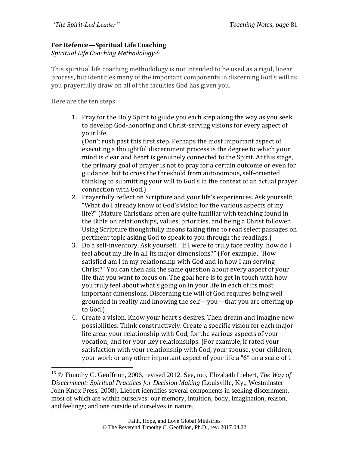# **For Refence—Spiritual Life Coaching**

*Spiritual Life Coaching Methodology*<sup>16</sup>

This spiritual life coaching methodology is not intended to be used as a rigid, linear process, but identifies many of the important components in discerning God's will as you prayerfully draw on all of the faculties God has given you.

Here are the ten steps:

1. Pray for the Holy Spirit to guide you each step along the way as you seek to develop God-honoring and Christ-serving visions for every aspect of your life.

(Don't rush past this first step. Perhaps the most important aspect of executing a thoughtful discernment process is the degree to which your mind is clear and heart is genuinely connected to the Spirit. At this stage, the primary goal of prayer is not to pray for a certain outcome or even for guidance, but to cross the threshold from autonomous, self-oriented thinking to submitting your will to God's in the context of an actual prayer connection with God.)

- 2. Prayerfully reflect on Scripture and your life's experiences. Ask yourself: "What do I already know of God's vision for the various aspects of my life?" (Mature Christians often are quite familiar with teaching found in the Bible on relationships, values, priorities, and being a Christ follower. Using Scripture thoughtfully means taking time to read select passages on pertinent topic asking God to speak to you through the readings.)
- 3. Do a self-inventory. Ask yourself, "If I were to truly face reality, how do I feel about my life in all its major dimensions?" (For example, "How satisfied am I in my relationship with God and in how I am serving Christ?" You can then ask the same question about every aspect of your life that you want to focus on. The goal here is to get in touch with how you truly feel about what's going on in your life in each of its most important dimensions. Discerning the will of God requires being well grounded in reality and knowing the self—you—that you are offering up to God.)
- 4. Create a vision. Know your heart's desires. Then dream and imagine new possibilities. Think constructively. Create a specific vision for each major life area: your relationship with God, for the various aspects of your vocation; and for your key relationships. (For example, if rated your satisfaction with your relationship with God, your spouse, your children, your work or any other important aspect of your life a "6" on a scale of 1

<sup>16</sup> © Timothy C. Geoffrion, 2006, revised 2012. See, too, Elizabeth Liebert, *The Way of Discernment: Spiritual Practices for Decision Making* (Louisville, Ky., Westminster John Knox Press, 2008). Liebert identifies several components in seeking discernment, most of which are within ourselves: our memory, intuition, body, imagination, reason, and feelings; and one outside of ourselves in nature.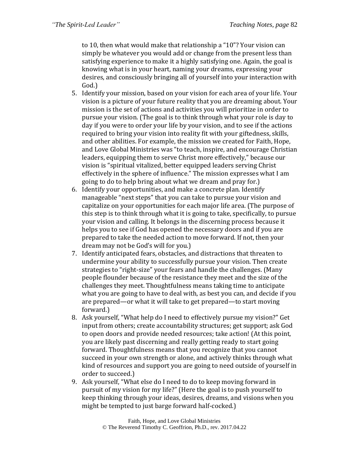to 10, then what would make that relationship a "10"? Your vision can simply be whatever you would add or change from the present less than satisfying experience to make it a highly satisfying one. Again, the goal is knowing what is in your heart, naming your dreams, expressing your desires, and consciously bringing all of yourself into your interaction with God.)

- 5. Identify your mission, based on your vision for each area of your life. Your vision is a picture of your future reality that you are dreaming about. Your mission is the set of actions and activities you will prioritize in order to pursue your vision. (The goal is to think through what your role is day to day if you were to order your life by your vision, and to see if the actions required to bring your vision into reality fit with your giftedness, skills, and other abilities. For example, the mission we created for Faith, Hope, and Love Global Ministries was "to teach, inspire, and encourage Christian leaders, equipping them to serve Christ more effectively," because our vision is "spiritual vitalized, better equipped leaders serving Christ effectively in the sphere of influence." The mission expresses what I am going to do to help bring about what we dream and pray for.)
- 6. Identify your opportunities, and make a concrete plan. Identify manageable "next steps" that you can take to pursue your vision and capitalize on your opportunities for each major life area. (The purpose of this step is to think through what it is going to take, specifically, to pursue your vision and calling. It belongs in the discerning process because it helps you to see if God has opened the necessary doors and if you are prepared to take the needed action to move forward. If not, then your dream may not be God's will for you.)
- 7. Identify anticipated fears, obstacles, and distractions that threaten to undermine your ability to successfully pursue your vision. Then create strategies to "right-size" your fears and handle the challenges. (Many people flounder because of the resistance they meet and the size of the challenges they meet. Thoughtfulness means taking time to anticipate what you are going to have to deal with, as best you can, and decide if you are prepared—or what it will take to get prepared—to start moving forward.)
- 8. Ask yourself, "What help do I need to effectively pursue my vision?" Get input from others; create accountability structures; get support; ask God to open doors and provide needed resources; take action! (At this point, you are likely past discerning and really getting ready to start going forward. Thoughtfulness means that you recognize that you cannot succeed in your own strength or alone, and actively thinks through what kind of resources and support you are going to need outside of yourself in order to succeed.)
- 9. Ask yourself, "What else do I need to do to keep moving forward in pursuit of my vision for my life?" (Here the goal is to push yourself to keep thinking through your ideas, desires, dreams, and visions when you might be tempted to just barge forward half-cocked.)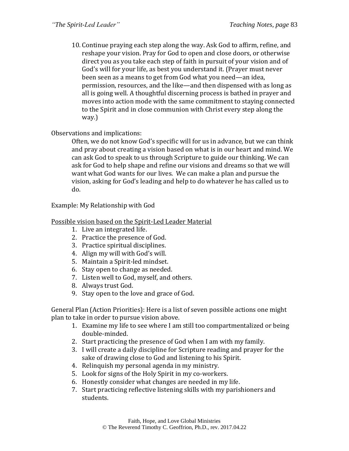10. Continue praying each step along the way. Ask God to affirm, refine, and reshape your vision. Pray for God to open and close doors, or otherwise direct you as you take each step of faith in pursuit of your vision and of God's will for your life, as best you understand it. (Prayer must never been seen as a means to get from God what you need—an idea, permission, resources, and the like—and then dispensed with as long as all is going well. A thoughtful discerning process is bathed in prayer and moves into action mode with the same commitment to staying connected to the Spirit and in close communion with Christ every step along the way.)

Observations and implications:

Often, we do not know God's specific will for us in advance, but we can think and pray about creating a vision based on what is in our heart and mind. We can ask God to speak to us through Scripture to guide our thinking. We can ask for God to help shape and refine our visions and dreams so that we will want what God wants for our lives. We can make a plan and pursue the vision, asking for God's leading and help to do whatever he has called us to do.

Example: My Relationship with God

## Possible vision based on the Spirit-Led Leader Material

- 1. Live an integrated life.
- 2. Practice the presence of God.
- 3. Practice spiritual disciplines.
- 4. Align my will with God's will.
- 5. Maintain a Spirit-led mindset.
- 6. Stay open to change as needed.
- 7. Listen well to God, myself, and others.
- 8. Always trust God.
- 9. Stay open to the love and grace of God.

General Plan (Action Priorities): Here is a list of seven possible actions one might plan to take in order to pursue vision above.

- 1. Examine my life to see where I am still too compartmentalized or being double-minded.
- 2. Start practicing the presence of God when I am with my family.
- 3. I will create a daily discipline for Scripture reading and prayer for the sake of drawing close to God and listening to his Spirit.
- 4. Relinquish my personal agenda in my ministry.
- 5. Look for signs of the Holy Spirit in my co-workers.
- 6. Honestly consider what changes are needed in my life.
- 7. Start practicing reflective listening skills with my parishioners and students.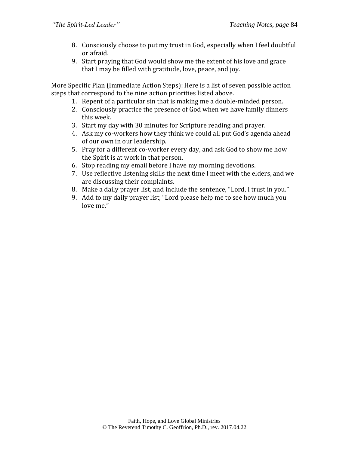- 8. Consciously choose to put my trust in God, especially when I feel doubtful or afraid.
- 9. Start praying that God would show me the extent of his love and grace that I may be filled with gratitude, love, peace, and joy.

More Specific Plan (Immediate Action Steps): Here is a list of seven possible action steps that correspond to the nine action priorities listed above.

- 1. Repent of a particular sin that is making me a double-minded person.
- 2. Consciously practice the presence of God when we have family dinners this week.
- 3. Start my day with 30 minutes for Scripture reading and prayer.
- 4. Ask my co-workers how they think we could all put God's agenda ahead of our own in our leadership.
- 5. Pray for a different co-worker every day, and ask God to show me how the Spirit is at work in that person.
- 6. Stop reading my email before I have my morning devotions.
- 7. Use reflective listening skills the next time I meet with the elders, and we are discussing their complaints.
- 8. Make a daily prayer list, and include the sentence, "Lord, I trust in you."
- 9. Add to my daily prayer list, "Lord please help me to see how much you love me."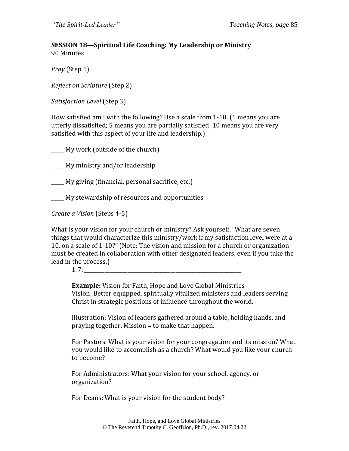# **SESSION 18—Spiritual Life Coaching: My Leadership or Ministry** 90 Minutes

*Pray* (Step 1)

*Reflect on Scripture* (Step 2)

*Satisfaction Level* (Step 3)

How satisfied am I with the following? Use a scale from 1-10. (1 means you are utterly dissatisfied; 5 means you are partially satisfied; 10 means you are very satisfied with this aspect of your life and leadership.)

\_\_\_\_\_ My work (outside of the church)

\_\_\_\_\_ My ministry and/or leadership

\_\_\_\_\_ My giving (financial, personal sacrifice, etc.)

\_\_\_\_\_ My stewardship of resources and opportunities

*Create a Vision* (Steps 4-5)

What is your vision for your church or ministry? Ask yourself, "What are seven things that would characterize this ministry/work if my satisfaction level were at a 10, on a scale of 1-10?" (Note: The vision and mission for a church or organization must be created in collaboration with other designated leaders, even if you take the lead in the process.)

 $1-7.$ 

**Example:** Vision for Faith, Hope and Love Global Ministries Vision: Better equipped, spiritually vitalized ministers and leaders serving Christ in strategic positions of influence throughout the world.

Illustration: Vision of leaders gathered around a table, holding hands, and praying together. Mission = to make that happen.

For Pastors: What is your vision for your congregation and its mission? What you would like to accomplish as a church? What would you like your church to become?

For Administrators: What your vision for your school, agency, or organization?

For Deans: What is your vision for the student body?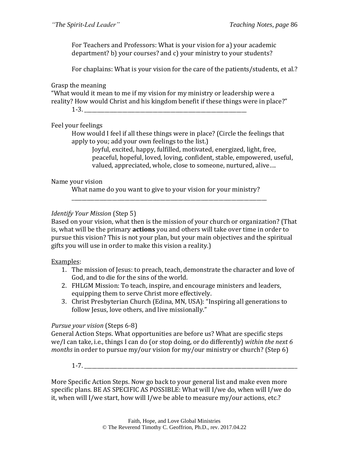For Teachers and Professors: What is your vision for a) your academic department? b) your courses? and c) your ministry to your students?

For chaplains: What is your vision for the care of the patients/students, et al.?

Grasp the meaning

"What would it mean to me if my vision for my ministry or leadership were a reality? How would Christ and his kingdom benefit if these things were in place?" 1-3. \_\_\_\_\_\_\_\_\_\_\_\_\_\_\_\_\_\_\_\_\_\_\_\_\_\_\_\_\_\_\_\_\_\_\_\_\_\_\_\_\_\_\_\_\_\_\_\_\_\_\_\_\_\_\_\_\_\_\_\_\_\_\_\_

Feel your feelings

How would I feel if all these things were in place? (Circle the feelings that apply to you; add your own feelings to the list.)

Joyful, excited, happy, fulfilled, motivated, energized, light, free, peaceful, hopeful, loved, loving, confident, stable, empowered, useful, valued, appreciated, whole, close to someone, nurtured, alive….

Name your vision

What name do you want to give to your vision for your ministry? \_\_\_\_\_\_\_\_\_\_\_\_\_\_\_\_\_\_\_\_\_\_\_\_\_\_\_\_\_\_\_\_\_\_\_\_\_\_\_\_\_\_\_\_\_\_\_\_\_\_\_\_\_\_\_\_\_\_\_\_\_\_\_\_\_\_\_\_\_\_\_\_\_\_\_\_\_

*Identify Your Mission* (Step 5)

Based on your vision, what then is the mission of your church or organization? (That is, what will be the primary **actions** you and others will take over time in order to pursue this vision? This is not your plan, but your main objectives and the spiritual gifts you will use in order to make this vision a reality.)

Examples:

- 1. The mission of Jesus: to preach, teach, demonstrate the character and love of God, and to die for the sins of the world.
- 2. FHLGM Mission: To teach, inspire, and encourage ministers and leaders, equipping them to serve Christ more effectively.
- 3. Christ Presbyterian Church (Edina, MN, USA): "Inspiring all generations to follow Jesus, love others, and live missionally."

# *Pursue your vision* (Steps 6-8)

General Action Steps. What opportunities are before us? What are specific steps we/I can take, i.e., things I can do (or stop doing, or do differently) *within the next 6 months* in order to pursue my/our vision for my/our ministry or church? (Step 6)

 $1-7.$ 

More Specific Action Steps. Now go back to your general list and make even more specific plans. BE AS SPECIFIC AS POSSIBLE: What will I/we do, when will I/we do it, when will I/we start, how will I/we be able to measure my/our actions, etc.?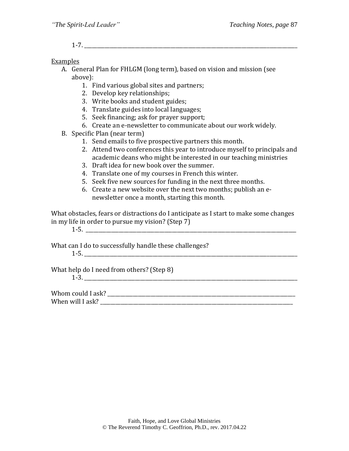$1-7.$ 

#### Examples

- A. General Plan for FHLGM (long term), based on vision and mission (see above):
	- 1. Find various global sites and partners;
	- 2. Develop key relationships;
	- 3. Write books and student guides;
	- 4. Translate guides into local languages;
	- 5. Seek financing; ask for prayer support;
	- 6. Create an e-newsletter to communicate about our work widely.
- B. Specific Plan (near term)
	- 1. Send emails to five prospective partners this month.
	- 2. Attend two conferences this year to introduce myself to principals and academic deans who might be interested in our teaching ministries
	- 3. Draft idea for new book over the summer.
	- 4. Translate one of my courses in French this winter.
	- 5. Seek five new sources for funding in the next three months.
	- 6. Create a new website over the next two months; publish an enewsletter once a month, starting this month.

What obstacles, fears or distractions do I anticipate as I start to make some changes in my life in order to pursue my vision? (Step 7)

1-5. \_\_\_\_\_\_\_\_\_\_\_\_\_\_\_\_\_\_\_\_\_\_\_\_\_\_\_\_\_\_\_\_\_\_\_\_\_\_\_\_\_\_\_\_\_\_\_\_\_\_\_\_\_\_\_\_\_\_\_\_\_\_\_\_\_\_\_\_\_\_\_\_\_\_\_\_\_\_\_\_\_\_\_

What can I do to successfully handle these challenges?

| 1-5                                       |  |
|-------------------------------------------|--|
|                                           |  |
| What help do I need from others? (Step 8) |  |

1-3.

Whom could I ask? \_\_\_\_\_\_\_\_\_\_\_\_\_\_\_\_\_\_\_\_\_\_\_\_\_\_\_\_\_\_\_\_\_\_\_\_\_\_\_\_\_\_\_\_\_\_\_\_\_\_\_\_\_\_\_\_\_\_\_\_\_\_\_\_\_\_\_\_\_\_\_\_\_\_ When will I ask? \_\_\_\_\_\_\_\_\_\_\_\_\_\_\_\_\_\_\_\_\_\_\_\_\_\_\_\_\_\_\_\_\_\_\_\_\_\_\_\_\_\_\_\_\_\_\_\_\_\_\_\_\_\_\_\_\_\_\_\_\_\_\_\_\_\_\_\_\_\_\_\_\_\_\_\_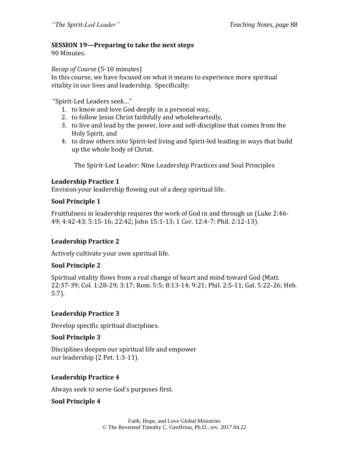## **SESSION 19—Preparing to take the next steps**

90 Minutes.

*Recap of Course* (5-10 minutes)

In this course, we have focused on what it means to experience more spiritual vitality in our lives and leadership. Specifically:

"Spirit-Led Leaders seek…"

- 1. to know and love God deeply in a personal way,
- 2. to follow Jesus Christ faithfully and wholeheartedly,
- 3. to live and lead by the power, love and self-discipline that comes from the Holy Spirit, and
- 4. to draw others into Spirit-led living and Spirit-led leading in ways that build up the whole body of Christ.

The Spirit-Led Leader: Nine Leadership Practices and Soul Principles

## **Leadership Practice 1**

Envision your leadership flowing out of a deep spiritual life.

## **Soul Principle 1**

Fruitfulness in leadership requires the work of God in and through us (Luke 2:46- 49; 4:42-43; 5:15-16; 22:42; John 15:1-13; 1 Cor. 12:4-7; Phil. 2:12-13).

# **Leadership Practice 2**

Actively cultivate your own spiritual life.

# **Soul Principle 2**

Spiritual vitality flows from a real change of heart and mind toward God (Matt. 22:37-39; Col. 1:28-29; 3:17; Rom. 5:5; 8:13-14; 9:21; Phil. 2:5-11; Gal. 5:22-26; Heb. 5:7).

# **Leadership Practice 3**

Develop specific spiritual disciplines.

# **Soul Principle 3**

Disciplines deepen our spiritual life and empower our leadership (2 Pet. 1:3-11).

## **Leadership Practice 4**

Always seek to serve God's purposes first.

**Soul Principle 4**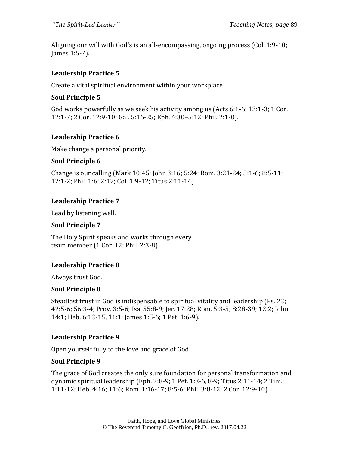Aligning our will with God's is an all-encompassing, ongoing process (Col. 1:9-10; James 1:5-7).

# **Leadership Practice 5**

Create a vital spiritual environment within your workplace.

# **Soul Principle 5**

God works powerfully as we seek his activity among us (Acts 6:1-6; 13:1-3; 1 Cor. 12:1-7; 2 Cor. 12:9-10; Gal. 5:16-25; Eph. 4:30–5:12; Phil. 2:1-8).

# **Leadership Practice 6**

Make change a personal priority.

# **Soul Principle 6**

Change is our calling (Mark 10:45; John 3:16; 5:24; Rom. 3:21-24; 5:1-6; 8:5-11; 12:1-2; Phil. 1:6; 2:12; Col. 1:9-12; Titus 2:11-14).

# **Leadership Practice 7**

Lead by listening well.

# **Soul Principle 7**

The Holy Spirit speaks and works through every team member (1 Cor. 12; Phil. 2:3-8).

# **Leadership Practice 8**

Always trust God.

# **Soul Principle 8**

Steadfast trust in God is indispensable to spiritual vitality and leadership (Ps. 23; 42:5-6; 56:3-4; Prov. 3:5-6; Isa. 55:8-9; Jer. 17:28; Rom. 5:3-5; 8:28-39; 12:2; John 14:1; Heb. 6:13-15, 11:1; James 1:5-6; 1 Pet. 1:6-9).

# **Leadership Practice 9**

Open yourself fully to the love and grace of God.

# **Soul Principle 9**

The grace of God creates the only sure foundation for personal transformation and dynamic spiritual leadership (Eph. 2:8-9; 1 Pet. 1:3-6, 8-9; Titus 2:11-14; 2 Tim. 1:11-12; Heb. 4:16; 11:6; Rom. 1:16-17; 8:5-6; Phil. 3:8-12; 2 Cor. 12:9-10).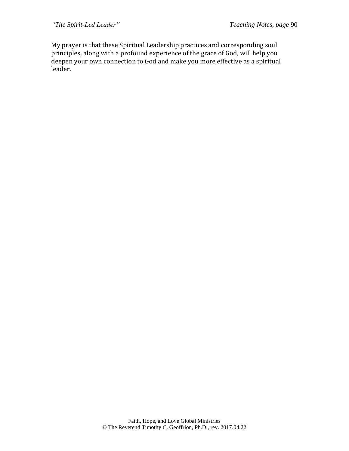My prayer is that these Spiritual Leadership practices and corresponding soul principles, along with a profound experience of the grace of God, will help you deepen your own connection to God and make you more effective as a spiritual leader.